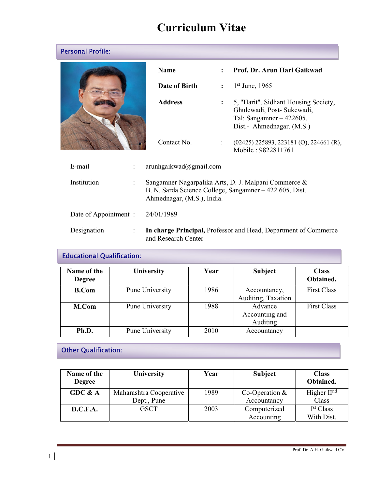# Curriculum Vitae

| <b>Personal Profile:</b> |                                                                                                                                               |                        |                      |                                                                                                                               |
|--------------------------|-----------------------------------------------------------------------------------------------------------------------------------------------|------------------------|----------------------|-------------------------------------------------------------------------------------------------------------------------------|
|                          |                                                                                                                                               | <b>Name</b>            | $\cdot$              | Prof. Dr. Arun Hari Gaikwad                                                                                                   |
|                          |                                                                                                                                               | Date of Birth          | $\ddot{\cdot}$       | $1st$ June, 1965                                                                                                              |
|                          |                                                                                                                                               | <b>Address</b>         |                      | 5, "Harit", Sidhant Housing Society,<br>Ghulewadi, Post- Sukewadi,<br>Tal: Sangamner $-422605$ ,<br>Dist.- Ahmednagar. (M.S.) |
|                          |                                                                                                                                               | Contact No.            | $\ddot{\phantom{0}}$ | $(02425)$ 225893, 223181 (O), 224661 (R),<br>Mobile: 9822811761                                                               |
| E-mail                   |                                                                                                                                               | arunhgaikwad@gmail.com |                      |                                                                                                                               |
| Institution              | Sangamner Nagarpalika Arts, D. J. Malpani Commerce &<br>B. N. Sarda Science College, Sangamner - 422 605, Dist.<br>Ahmednagar, (M.S.), India. |                        |                      |                                                                                                                               |
| Date of Appointment :    |                                                                                                                                               | 24/01/1989             |                      |                                                                                                                               |
| Designation              | $\ddot{\cdot}$                                                                                                                                | and Research Center    |                      | In charge Principal, Professor and Head, Department of Commerce                                                               |

## Educational Qualification:

| Name of the<br><b>Degree</b> | University      | Year | <b>Subject</b>                        | <b>Class</b><br>Obtained. |
|------------------------------|-----------------|------|---------------------------------------|---------------------------|
| <b>B.Com</b>                 | Pune University | 1986 | Accountancy,<br>Auditing, Taxation    | <b>First Class</b>        |
| M.Com                        | Pune University | 1988 | Advance<br>Accounting and<br>Auditing | <b>First Class</b>        |
| Ph.D.                        | Pune University | 2010 | Accountancy                           |                           |

## Other Qualification:

| Name of the<br><b>Degree</b> | <b>University</b>       | Year | <b>Subject</b>   | <b>Class</b><br>Obtained. |
|------------------------------|-------------------------|------|------------------|---------------------------|
| GDC & A                      | Maharashtra Cooperative | 1989 | Co-Operation $&$ | Higher $IInd$             |
|                              | Dept., Pune             |      | Accountancy      | Class                     |
| D.C.F.A.                     | <b>GSCT</b>             | 2003 | Computerized     | I <sup>st</sup> Class     |
|                              |                         |      | Accounting       | With Dist.                |

l.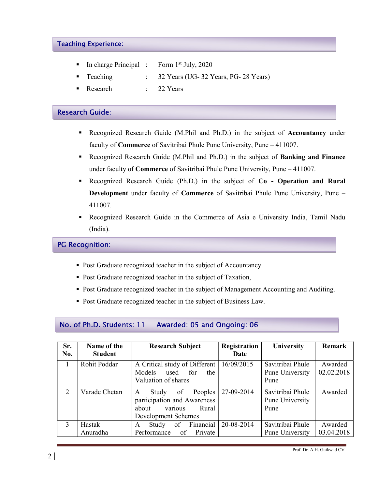#### Teaching Experience:

- In charge Principal : Form  $1<sup>st</sup>$  July, 2020
- Teaching : 32 Years (UG- 32 Years, PG- 28 Years)
- Research : 22 Years

#### Research Guide:

- Recognized Research Guide (M.Phil and Ph.D.) in the subject of Accountancy under faculty of Commerce of Savitribai Phule Pune University, Pune – 411007.
- Recognized Research Guide (M.Phil and Ph.D.) in the subject of Banking and Finance under faculty of Commerce of Savitribai Phule Pune University, Pune – 411007.
- Recognized Research Guide (Ph.D.) in the subject of Co Operation and Rural Development under faculty of Commerce of Savitribai Phule Pune University, Pune – 411007.
- Recognized Research Guide in the Commerce of Asia e University India, Tamil Nadu (India).

#### PG Recognition:

- Post Graduate recognized teacher in the subject of Accountancy.
- Post Graduate recognized teacher in the subject of Taxation,
- Post Graduate recognized teacher in the subject of Management Accounting and Auditing.
- **Post Graduate recognized teacher in the subject of Business Law.**

## No. of Ph.D. Students: 11 Awarded: 05 and Ongoing: 06

| Sr.<br>No. | Name of the<br><b>Student</b> | <b>Research Subject</b>       | Registration<br>Date | University       | <b>Remark</b> |
|------------|-------------------------------|-------------------------------|----------------------|------------------|---------------|
|            | Rohit Poddar                  | A Critical study of Different | 16/09/2015           | Savitribai Phule | Awarded       |
|            |                               | Models<br>used<br>for<br>the  |                      | Pune University  | 02.02.2018    |
|            |                               | Valuation of shares           |                      | Pune             |               |
| 2          | Varade Chetan                 | of<br>Peoples<br>Study<br>A   | 27-09-2014           | Savitribai Phule | Awarded       |
|            |                               | participation and Awareness   |                      | Pune University  |               |
|            |                               | various<br>about<br>Rural     |                      | Pune             |               |
|            |                               | Development Schemes           |                      |                  |               |
| 3          | Hastak                        | Financial<br>of<br>Study<br>A | 20-08-2014           | Savitribai Phule | Awarded       |
|            | Anuradha                      | Performance<br>of Private     |                      | Pune University  | 03.04.2018    |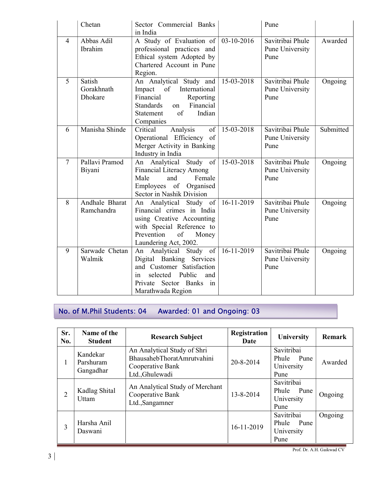|                | Chetan                                 | Sector Commercial Banks<br>in India                                                                                                                                            |                  | Pune                                        |           |
|----------------|----------------------------------------|--------------------------------------------------------------------------------------------------------------------------------------------------------------------------------|------------------|---------------------------------------------|-----------|
| $\overline{4}$ | Abbas Adil<br>Ibrahim                  | A Study of Evaluation of $\vert$ 03-10-2016<br>professional practices and<br>Ethical system Adopted by<br>Chartered Account in Pune<br>Region.                                 |                  | Savitribai Phule<br>Pune University<br>Pune | Awarded   |
| 5              | Satish<br>Gorakhnath<br><b>Dhokare</b> | An Analytical Study and<br>International<br>Impact of<br>Financial<br>Reporting<br>Financial<br><b>Standards</b><br><sub>on</sub><br>of<br>Indian<br>Statement<br>Companies    | 15-03-2018       | Savitribai Phule<br>Pune University<br>Pune | Ongoing   |
| 6              | Manisha Shinde                         | Critical<br>Analysis<br>$\vert$ of $\vert$<br>Operational Efficiency of<br>Merger Activity in Banking<br>Industry in India                                                     | $15-03-2018$     | Savitribai Phule<br>Pune University<br>Pune | Submitted |
| $\overline{7}$ | Pallavi Pramod<br>Biyani               | An Analytical Study of 15-03-2018<br><b>Financial Literacy Among</b><br>Male<br>and<br>Female<br>Employees of<br>Organised<br>Sector in Nashik Division                        |                  | Savitribai Phule<br>Pune University<br>Pune | Ongoing   |
| 8              | <b>Andhale Bharat</b><br>Ramchandra    | An Analytical Study of 16-11-2019<br>Financial crimes in India<br>using Creative Accounting<br>with Special Reference to<br>Prevention<br>of<br>Money<br>Laundering Act, 2002. |                  | Savitribai Phule<br>Pune University<br>Pune | Ongoing   |
| 9              | Sarwade Chetan<br>Walmik               | An Analytical Study of<br>Digital Banking Services<br>and Customer Satisfaction<br>Public<br>selected<br>and<br>in<br>Private Sector Banks<br>in<br>Marathwada Region          | $16 - 11 - 2019$ | Savitribai Phule<br>Pune University<br>Pune | Ongoing   |

## No. of M.Phil Students: 04 Awarded: 01 and Ongoing: 03

| Sr.<br>No. | Name of the<br><b>Student</b>      | <b>Research Subject</b>                                                                          | Registration<br>Date | University                                        | <b>Remark</b> |
|------------|------------------------------------|--------------------------------------------------------------------------------------------------|----------------------|---------------------------------------------------|---------------|
| 1          | Kandekar<br>Parshuram<br>Gangadhar | An Analytical Study of Shri<br>BhausahebThoratAmrutvahini<br>Cooperative Bank<br>Ltd., Ghulewadi | 20-8-2014            | Savitribai<br>Pune<br>Phule<br>University<br>Pune | Awarded       |
| 2          | Kadlag Shital<br>Uttam             | An Analytical Study of Merchant<br>Cooperative Bank<br>Ltd., Sangamner                           | 13-8-2014            | Savitribai<br>Phule Pune<br>University<br>Pune    | Ongoing       |
| 3          | Harsha Anil<br>Daswani             |                                                                                                  | 16-11-2019           | Savitribai<br>Phule<br>Pune<br>University<br>Pune | Ongoing       |

Prof. Dr. A.H. Gaikwad CV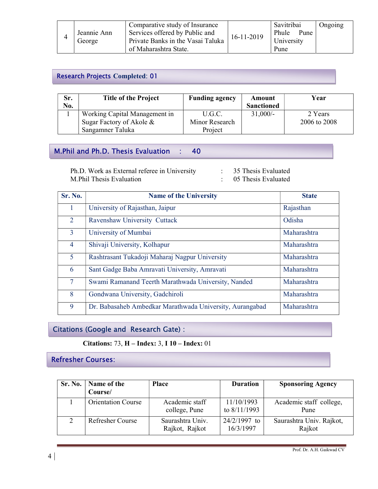|             | Comparative study of Insurance    |            | Savitribai    | Ongoing |
|-------------|-----------------------------------|------------|---------------|---------|
| Jeannie Ann | Services offered by Public and    | 16-11-2019 | Phule<br>Pune |         |
| George      | Private Banks in the Vasai Taluka |            | University    |         |
|             | of Maharashtra State.             |            | Pune          |         |

#### j Research Projects Completed: 01

| Sr. | <b>Title of the Project</b>   | <b>Funding agency</b> | Amount            | Year         |
|-----|-------------------------------|-----------------------|-------------------|--------------|
| No. |                               |                       | <b>Sanctioned</b> |              |
|     | Working Capital Management in | U.G.C.                | $31,000/-$        | 2 Years      |
|     | Sugar Factory of Akole &      | Minor Research        |                   | 2006 to 2008 |
|     | Sangamner Taluka              | Project               |                   |              |

## M.Phil and Ph.D. Thesis Evaluation : 40

Ph.D. Work as External referee in University : 35 Thesis Evaluated M.Phil Thesis Evaluation : 05 Thesis Evaluated

| <b>Sr. No.</b> | <b>Name of the University</b>                            | <b>State</b> |
|----------------|----------------------------------------------------------|--------------|
|                | University of Rajasthan, Jaipur                          | Rajasthan    |
| $\overline{2}$ | Ravenshaw University Cuttack                             | Odisha       |
| 3 <sup>1</sup> | University of Mumbai                                     | Maharashtra  |
| $\overline{4}$ | Shivaji University, Kolhapur                             | Maharashtra  |
| 5 <sup>5</sup> | Rashtrasant Tukadoji Maharaj Nagpur University           | Maharashtra  |
| 6              | Sant Gadge Baba Amravati University, Amravati            | Maharashtra  |
| $\tau$         | Swami Ramanand Teerth Marathwada University, Nanded      | Maharashtra  |
| 8              | Gondwana University, Gadchiroli                          | Maharashtra  |
| 9              | Dr. Babasaheb Ambedkar Marathwada University, Aurangabad | Maharashtra  |

## Citations (Google and Research Gate) :

Citations: 73, H – Index: 3, I 10 – Index: 01

## Refresher Courses:

|          | Sr. No.   Name of the<br>Course/ | <b>Place</b>                       | <b>Duration</b>             | <b>Sponsoring Agency</b>           |
|----------|----------------------------------|------------------------------------|-----------------------------|------------------------------------|
|          | <b>Orientation Course</b>        | Academic staff<br>college, Pune    | 11/10/1993<br>to 8/11/1993  | Academic staff college,<br>Pune    |
| $\gamma$ | <b>Refresher Course</b>          | Saurashtra Univ.<br>Rajkot, Rajkot | $24/2/1997$ to<br>16/3/1997 | Saurashtra Univ. Rajkot,<br>Rajkot |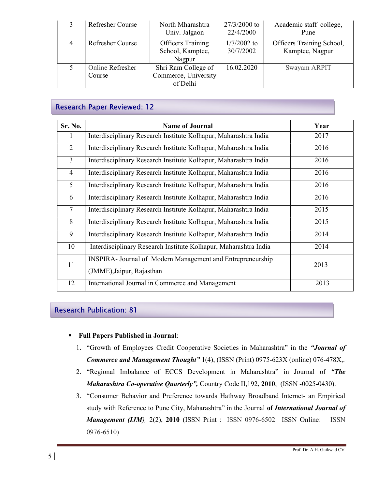| <b>Refresher Course</b>    | North Mharashtra<br>Univ. Jalgaon                       | 27/3/2000 to<br>22/4/2000  | Academic staff college,<br>Pune              |
|----------------------------|---------------------------------------------------------|----------------------------|----------------------------------------------|
| Refresher Course           | <b>Officers Training</b><br>School, Kamptee,<br>Nagpur  | $1/7/2002$ to<br>30/7/2002 | Officers Training School,<br>Kamptee, Nagpur |
| Online Refresher<br>Course | Shri Ram College of<br>Commerce, University<br>of Delhi | 16.02.2020                 | Swayam ARPIT                                 |

## Research Paper Reviewed: 12

| Sr. No.        | <b>Name of Journal</b>                                            | Year |
|----------------|-------------------------------------------------------------------|------|
| $\bf{l}$       | Interdisciplinary Research Institute Kolhapur, Maharashtra India  | 2017 |
| 2              | Interdisciplinary Research Institute Kolhapur, Maharashtra India  | 2016 |
| $\overline{3}$ | Interdisciplinary Research Institute Kolhapur, Maharashtra India  | 2016 |
| $\overline{4}$ | Interdisciplinary Research Institute Kolhapur, Maharashtra India  | 2016 |
| 5              | Interdisciplinary Research Institute Kolhapur, Maharashtra India  | 2016 |
| 6              | Interdisciplinary Research Institute Kolhapur, Maharashtra India  | 2016 |
| $\tau$         | Interdisciplinary Research Institute Kolhapur, Maharashtra India  | 2015 |
| 8              | Interdisciplinary Research Institute Kolhapur, Maharashtra India  | 2015 |
| 9              | Interdisciplinary Research Institute Kolhapur, Maharashtra India  | 2014 |
| 10             | Interdisciplinary Research Institute Kolhapur, Maharashtra India  | 2014 |
| 11             | <b>INSPIRA-</b> Journal of Modern Management and Entrepreneurship | 2013 |
|                | (JMME), Jaipur, Rajasthan                                         |      |
| 12             | International Journal in Commerce and Management                  | 2013 |

## Research Publication: 81

- Full Papers Published in Journal:
	- 1. "Growth of Employees Credit Cooperative Societies in Maharashtra" in the "Journal of Commerce and Management Thought" 1(4), (ISSN (Print) 0975-623X (online) 076-478X,.
	- 2. "Regional Imbalance of ECCS Development in Maharashtra" in Journal of "The Maharashtra Co-operative Quarterly", Country Code II, 192, 2010, (ISSN -0025-0430).
	- 3. "Consumer Behavior and Preference towards Hathway Broadband Internet- an Empirical study with Reference to Pune City, Maharashtra" in the Journal of International Journal of Management (IJM), 2(2), 2010 (ISSN Print : ISSN 0976-6502 ISSN Online: ISSN 0976-6510)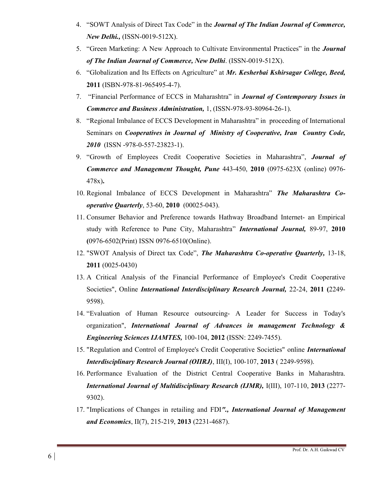- 4. "SOWT Analysis of Direct Tax Code" in the Journal of The Indian Journal of Commerce, New Delhi., (ISSN-0019-512X).
- 5. "Green Marketing: A New Approach to Cultivate Environmental Practices" in the *Journal* of The Indian Journal of Commerce, New Delhi. (ISSN-0019-512X).
- 6. "Globalization and Its Effects on Agriculture" at Mr. Kesherbai Kshirsagar College, Beed, 2011 (ISBN-978-81-965495-4-7).
- 7. "Financial Performance of ECCS in Maharashtra" in Journal of Contemporary Issues in Commerce and Business Administration, 1, (ISSN-978-93-80964-26-1).
- 8. "Regional Imbalance of ECCS Development in Maharashtra" in proceeding of International Seminars on *Cooperatives in Journal of Ministry of Cooperative, Iran Country Code,* 2010 (ISSN -978-0-557-23823-1).
- 9. "Growth of Employees Credit Cooperative Societies in Maharashtra", Journal of Commerce and Management Thought, Pune 443-450, 2010 (0975-623X (online) 0976- 478x).
- 10. Regional Imbalance of ECCS Development in Maharashtra" The Maharashtra Cooperative Quarterly, 53-60, 2010 (00025-043).
- 11. Consumer Behavior and Preference towards Hathway Broadband Internet- an Empirical study with Reference to Pune City, Maharashtra" **International Journal**, 89-97, 2010 (0976-6502(Print) ISSN 0976-6510(Online).
- 12. "SWOT Analysis of Direct tax Code", The Maharashtra Co-operative Quarterly, 13-18, 2011 (0025-0430)
- 13. A Critical Analysis of the Financial Performance of Employee's Credit Cooperative Societies", Online *International Interdisciplinary Research Journal*, 22-24, 2011 (2249-9598).
- 14. "Evaluation of Human Resource outsourcing- A Leader for Success in Today's organization", International Journal of Advances in management Technology & Engineering Sciences IJAMTES, 100-104, 2012 (ISSN: 2249-7455).
- 15. "Regulation and Control of Employee's Credit Cooperative Societies" online International Interdisciplinary Research Journal (OIIRJ), III(I), 100-107, 2013 ( 2249-9598).
- 16. Performance Evaluation of the District Central Cooperative Banks in Maharashtra. International Journal of Multidisciplinary Research (IJMR), I(III), 107-110, 2013 (2277- 9302).
- 17. "Implications of Changes in retailing and FDI"., International Journal of Management and Economics, II(7), 215-219, 2013 (2231-4687).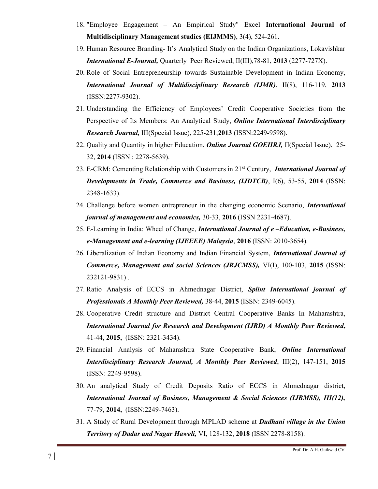- 18. "Employee Engagement An Empirical Study" Excel International Journal of Multidisciplinary Management studies (EIJMMS), 3(4), 524-261.
- 19. Human Resource Branding- It's Analytical Study on the Indian Organizations, Lokavishkar International E-Journal, Quarterly Peer Reviewed, II(III),78-81, 2013 (2277-727X).
- 20. Role of Social Entrepreneurship towards Sustainable Development in Indian Economy, International Journal of Multidisciplinary Research (IJMR), II(8), 116-119, 2013 (ISSN:2277-9302).
- 21. Understanding the Efficiency of Employees' Credit Cooperative Societies from the Perspective of Its Members: An Analytical Study, *Online International Interdisciplinary* Research Journal, III(Special Issue), 225-231,2013 (ISSN:2249-9598).
- 22. Quality and Quantity in higher Education, *Online Journal GOEIIRJ*, II(Special Issue), 25-32, 2014 (ISSN : 2278-5639).
- 23. E-CRM: Cementing Relationship with Customers in 21<sup>st</sup> Century, *International Journal of* Developments in Trade, Commerce and Business, (IJDTCB), I(6), 53-55, 2014 (ISSN: 2348-1633).
- 24. Challenge before women entrepreneur in the changing economic Scenario, *International* journal of management and economics, 30-33, 2016 (ISSN 2231-4687).
- 25. E-Learning in India: Wheel of Change, *International Journal of e-Education, e-Business,* e-Management and e-learning (IJEEEE) Malaysia, 2016 (ISSN: 2010-3654).
- 26. Liberalization of Indian Economy and Indian Financial System, *International Journal of* Commerce, Management and social Sciences (JRJCMSS), VI(I), 100-103, 2015 (ISSN: 232121-9831) .
- 27. Ratio Analysis of ECCS in Ahmednagar District, Splint International journal of Professionals A Monthly Peer Reviewed, 38-44, 2015 (ISSN: 2349-6045).
- 28. Cooperative Credit structure and District Central Cooperative Banks In Maharashtra, International Journal for Research and Development (IJRD) A Monthly Peer Reviewed, 41-44, 2015, (ISSN: 2321-3434).
- 29. Financial Analysis of Maharashtra State Cooperative Bank, Online International Interdisciplinary Research Journal, A Monthly Peer Reviewed, III(2), 147-151, 2015 (ISSN: 2249-9598).
- 30. An analytical Study of Credit Deposits Ratio of ECCS in Ahmednagar district, International Journal of Business, Management & Social Sciences (IJBMSS), III(12), 77-79, 2014, (ISSN:2249-7463).
- 31. A Study of Rural Development through MPLAD scheme at **Dudhani village in the Union** Territory of Dadar and Nagar Haweli, VI, 128-132, 2018 (ISSN 2278-8158).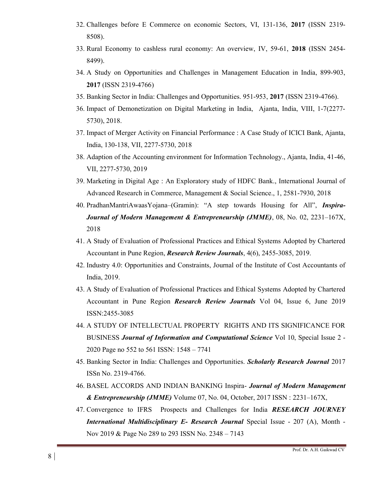- 32. Challenges before E Commerce on economic Sectors, VI, 131-136, 2017 (ISSN 2319- 8508).
- 33. Rural Economy to cashless rural economy: An overview, IV, 59-61, 2018 (ISSN 2454- 8499).
- 34. A Study on Opportunities and Challenges in Management Education in India, 899-903, 2017 (ISSN 2319-4766)
- 35. Banking Sector in India: Challenges and Opportunities. 951-953, 2017 (ISSN 2319-4766).
- 36. Impact of Demonetization on Digital Marketing in India, Ajanta, India, VIII, 1-7(2277- 5730), 2018.
- 37. Impact of Merger Activity on Financial Performance : A Case Study of ICICI Bank, Ajanta, India, 130-138, VII, 2277-5730, 2018
- 38. Adaption of the Accounting environment for Information Technology., Ajanta, India, 41-46, VII, 2277-5730, 2019
- 39. Marketing in Digital Age : An Exploratory study of HDFC Bank., International Journal of Advanced Research in Commerce, Management & Social Science., 1, 2581-7930, 2018
- 40. PradhanMantriAwaasYojana–(Gramin): "A step towards Housing for All", Inspira-Journal of Modern Management & Entrepreneurship (JMME), 08, No. 02, 2231–167X, 2018
- 41. A Study of Evaluation of Professional Practices and Ethical Systems Adopted by Chartered Accountant in Pune Region, Research Review Journals, 4(6), 2455-3085, 2019.
- 42. Industry 4.0: Opportunities and Constraints, Journal of the Institute of Cost Accountants of India, 2019.
- 43. A Study of Evaluation of Professional Practices and Ethical Systems Adopted by Chartered Accountant in Pune Region Research Review Journals Vol 04, Issue 6, June 2019 ISSN:2455-3085
- 44. A STUDY OF INTELLECTUAL PROPERTY RIGHTS AND ITS SIGNIFICANCE FOR BUSINESS Journal of Information and Computational Science Vol 10, Special Issue 2 -2020 Page no 552 to 561 ISSN: 1548 – 7741
- 45. Banking Sector in India: Challenges and Opportunities. Scholarly Research Journal 2017 ISSn No. 2319-4766.
- 46. BASEL ACCORDS AND INDIAN BANKING Inspira- Journal of Modern Management & *Entrepreneurship (JMME)* Volume  $07$ , No.  $04$ , October,  $2017$  ISSN:  $2231-167X$ ,
- 47. Convergence to IFRS Prospects and Challenges for India RESEARCH JOURNEY **International Multidisciplinary E- Research Journal Special Issue - 207 (A), Month -**Nov 2019 & Page No 289 to 293 ISSN No. 2348 – 7143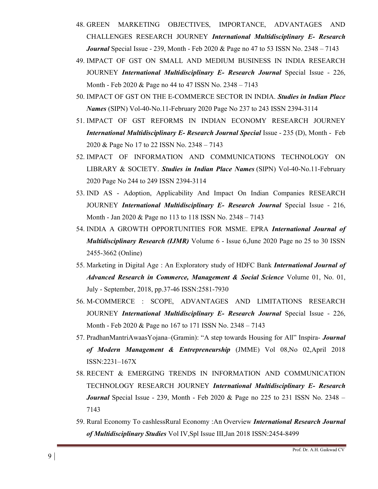- 48. GREEN MARKETING OBJECTIVES, IMPORTANCE, ADVANTAGES AND CHALLENGES RESEARCH JOURNEY International Multidisciplinary E- Research **Journal** Special Issue - 239, Month - Feb 2020 & Page no 47 to 53 ISSN No. 2348 – 7143
- 49. IMPACT OF GST ON SMALL AND MEDIUM BUSINESS IN INDIA RESEARCH JOURNEY International Multidisciplinary E- Research Journal Special Issue - 226, Month - Feb 2020 & Page no 44 to 47 ISSN No. 2348 – 7143
- 50. IMPACT OF GST ON THE E-COMMERCE SECTOR IN INDIA. Studies in Indian Place Names (SIPN) Vol-40-No.11-February 2020 Page No 237 to 243 ISSN 2394-3114
- 51. IMPACT OF GST REFORMS IN INDIAN ECONOMY RESEARCH JOURNEY International Multidisciplinary E- Research Journal Special Issue - 235 (D), Month - Feb 2020 & Page No 17 to 22 ISSN No. 2348 – 7143
- 52. IMPACT OF INFORMATION AND COMMUNICATIONS TECHNOLOGY ON LIBRARY & SOCIETY. Studies in Indian Place Names (SIPN) Vol-40-No.11-February 2020 Page No 244 to 249 ISSN 2394-3114
- 53. IND AS Adoption, Applicability And Impact On Indian Companies RESEARCH JOURNEY International Multidisciplinary E- Research Journal Special Issue - 216, Month - Jan 2020 & Page no 113 to 118 ISSN No. 2348 – 7143
- 54. INDIA A GROWTH OPPORTUNITIES FOR MSME. EPRA International Journal of Multidisciplinary Research (IJMR) Volume 6 - Issue 6,June 2020 Page no 25 to 30 ISSN 2455-3662 (Online)
- 55. Marketing in Digital Age : An Exploratory study of HDFC Bank International Journal of Advanced Research in Commerce, Management & Social Science Volume 01, No. 01, July - September, 2018, pp.37-46 ISSN:2581-7930
- 56. M-COMMERCE : SCOPE, ADVANTAGES AND LIMITATIONS RESEARCH JOURNEY International Multidisciplinary E- Research Journal Special Issue - 226, Month - Feb 2020 & Page no 167 to 171 ISSN No. 2348 – 7143
- 57. PradhanMantriAwaasYojana–(Gramin): "A step towards Housing for All" Inspira- Journal of Modern Management & Entrepreneurship (JMME) Vol 08,No 02,April 2018 ISSN:2231–167X
- 58. RECENT & EMERGING TRENDS IN INFORMATION AND COMMUNICATION TECHNOLOGY RESEARCH JOURNEY International Multidisciplinary E- Research **Journal** Special Issue - 239, Month - Feb 2020 & Page no 225 to 231 ISSN No. 2348 – 7143
- 59. Rural Economy To cashlessRural Economy :An Overview *International Research Journal* of Multidisciplinary Studies Vol IV,Spl Issue III,Jan 2018 ISSN:2454-8499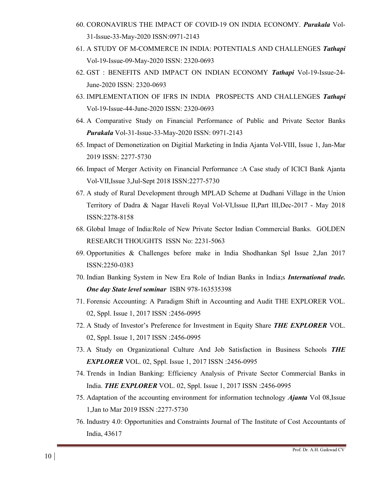- 60. CORONAVIRUS THE IMPACT OF COVID-19 ON INDIA ECONOMY. Purakala Vol-31-Issue-33-May-2020 ISSN:0971-2143
- 61. A STUDY OF M-COMMERCE IN INDIA: POTENTIALS AND CHALLENGES Tathapi Vol-19-Issue-09-May-2020 ISSN: 2320-0693
- 62. GST : BENEFITS AND IMPACT ON INDIAN ECONOMY Tathapi Vol-19-Issue-24- June-2020 ISSN: 2320-0693
- 63. IMPLEMENTATION OF IFRS IN INDIA PROSPECTS AND CHALLENGES Tathapi Vol-19-Issue-44-June-2020 ISSN: 2320-0693
- 64. A Comparative Study on Financial Performance of Public and Private Sector Banks Purakala Vol-31-Issue-33-May-2020 ISSN: 0971-2143
- 65. Impact of Demonetization on Digitial Marketing in India Ajanta Vol-VIII, Issue 1, Jan-Mar 2019 ISSN: 2277-5730
- 66. Impact of Merger Activity on Financial Performance :A Case study of ICICI Bank Ajanta Vol-VII,Issue 3,Jul-Sept 2018 ISSN:2277-5730
- 67. A study of Rural Development through MPLAD Scheme at Dudhani Village in the Union Territory of Dadra & Nagar Haveli Royal Vol-VI,Issue II,Part III,Dec-2017 - May 2018 ISSN:2278-8158
- 68. Global Image of India:Role of New Private Sector Indian Commercial Banks. GOLDEN RESEARCH THOUGHTS ISSN No: 2231-5063
- 69. Opportunities & Challenges before make in India Shodhankan Spl Issue 2,Jan 2017 ISSN:2250-0383
- 70. Indian Banking System in New Era Role of Indian Banks in India;s International trade. One day State level seminar ISBN 978-163535398
- 71. Forensic Accounting: A Paradigm Shift in Accounting and Audit THE EXPLORER VOL. 02, Sppl. Issue 1, 2017 ISSN :2456-0995
- 72. A Study of Investor's Preference for Investment in Equity Share THE EXPLORER VOL. 02, Sppl. Issue 1, 2017 ISSN :2456-0995
- 73. A Study on Organizational Culture And Job Satisfaction in Business Schools THE **EXPLORER** VOL. 02, Sppl. Issue 1, 2017 ISSN :2456-0995
- 74. Trends in Indian Banking: Efficiency Analysis of Private Sector Commercial Banks in India. THE EXPLORER VOL. 02, Sppl. Issue 1, 2017 ISSN :2456-0995
- 75. Adaptation of the accounting environment for information technology Ajanta Vol 08,Issue 1,Jan to Mar 2019 ISSN :2277-5730
- 76. Industry 4.0: Opportunities and Constraints Journal of The Institute of Cost Accountants of India, 43617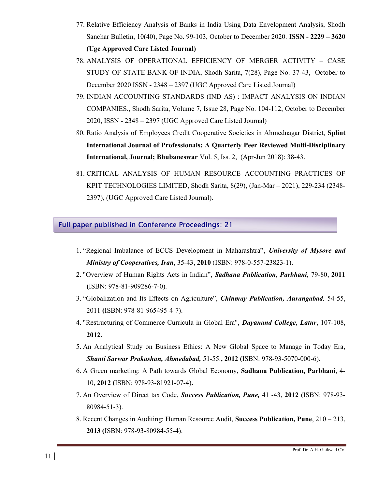- 77. Relative Efficiency Analysis of Banks in India Using Data Envelopment Analysis, Shodh Sanchar Bulletin, 10(40), Page No. 99-103, October to December 2020. ISSN - 2229 – 3620 (Ugc Approved Care Listed Journal)
- 78. ANALYSIS OF OPERATIONAL EFFICIENCY OF MERGER ACTIVITY CASE STUDY OF STATE BANK OF INDIA, Shodh Sarita, 7(28), Page No. 37-43, October to December 2020 ISSN - 2348 – 2397 (UGC Approved Care Listed Journal)
- 79. INDIAN ACCOUNTING STANDARDS (IND AS) : IMPACT ANALYSIS ON INDIAN COMPANIES., Shodh Sarita, Volume 7, Issue 28, Page No. 104-112, October to December 2020, ISSN - 2348 – 2397 (UGC Approved Care Listed Journal)
- 80. Ratio Analysis of Employees Credit Cooperative Societies in Ahmednagar District, Splint International Journal of Professionals: A Quarterly Peer Reviewed Multi-Disciplinary International, Journal; Bhubaneswar Vol. 5, Iss. 2, (Apr-Jun 2018): 38-43.
- 81. CRITICAL ANALYSIS OF HUMAN RESOURCE ACCOUNTING PRACTICES OF KPIT TECHNOLOGIES LIMITED, Shodh Sarita, 8(29), (Jan-Mar – 2021), 229-234 (2348- 2397), (UGC Approved Care Listed Journal).

## Full paper published in Conference Proceedings: 21

- 1. "Regional Imbalance of ECCS Development in Maharashtra", University of Mysore and Ministry of Cooperatives, Iran, 35-43, 2010 (ISBN: 978-0-557-23823-1).
- 2. "Overview of Human Rights Acts in Indian", Sadhana Publication, Parbhani, 79-80, 2011 (ISBN: 978-81-909286-7-0).
- 3. "Globalization and Its Effects on Agriculture", *Chinmay Publication, Aurangabad*, 54-55, 2011 (ISBN: 978-81-965495-4-7).
- 4. "Restructuring of Commerce Curricula in Global Era", Dayanand College, Latur, 107-108, 2012.
- 5. An Analytical Study on Business Ethics: A New Global Space to Manage in Today Era, Shanti Sarwar Prakashan, Ahmedabad, 51-55., 2012 (ISBN: 978-93-5070-000-6).
- 6. A Green marketing: A Path towards Global Economy, Sadhana Publication, Parbhani, 4- 10, 2012 (ISBN: 978-93-81921-07-4).
- 7. An Overview of Direct tax Code, Success Publication, Pune, 41 -43, 2012 (ISBN: 978-93- 80984-51-3).
- 8. Recent Changes in Auditing: Human Resource Audit, Success Publication, Pune, 210 213, 2013 (ISBN: 978-93-80984-55-4).

 $\overline{a}$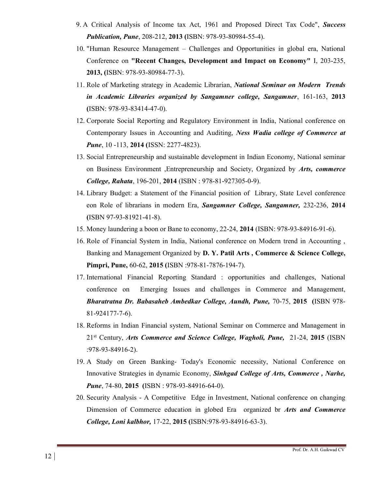- 9. A Critical Analysis of Income tax Act, 1961 and Proposed Direct Tax Code", Success Publication, Pune, 208-212, 2013 (ISBN: 978-93-80984-55-4).
- 10. "Human Resource Management Challenges and Opportunities in global era, National Conference on "Recent Changes, Development and Impact on Economy" I, 203-235, 2013, (ISBN: 978-93-80984-77-3).
- 11. Role of Marketing strategy in Academic Librarian, National Seminar on Modern Trends in Academic Libraries organized by Sangamner college, Sangamner, 161-163, 2013 (ISBN: 978-93-83414-47-0).
- 12. Corporate Social Reporting and Regulatory Environment in India, National conference on Contemporary Issues in Accounting and Auditing, Ness Wadia college of Commerce at **Pune**, 10 -113, **2014** (ISSN: 2277-4823).
- 13. Social Entrepreneurship and sustainable development in Indian Economy, National seminar on Business Environment ,Entrepreneurship and Society, Organized by *Arts, commerce* College, Rahata, 196-201, 2014 (ISBN : 978-81-927305-0-9).
- 14. Library Budget: a Statement of the Financial position of Library, State Level conference eon Role of librarians in modern Era, Sangamner College, Sangamner, 232-236, 2014 (ISBN 97-93-81921-41-8).
- 15. Money laundering a boon or Bane to economy, 22-24, 2014 (ISBN: 978-93-84916-91-6).
- 16. Role of Financial System in India, National conference on Modern trend in Accounting , Banking and Management Organized by D. Y. Patil Arts , Commerce & Science College, Pimpri, Pune, 60-62, 2015 (ISBN :978-81-7876-194-7).
- 17. International Financial Reporting Standard : opportunities and challenges, National conference on Emerging Issues and challenges in Commerce and Management, Bharatratna Dr. Babasaheb Ambedkar College, Aundh, Pune, 70-75, 2015 (ISBN 978- 81-924177-7-6).
- 18. Reforms in Indian Financial system, National Seminar on Commerce and Management in  $21<sup>st</sup>$  Century, Arts Commerce and Science College, Wagholi, Pune, 21-24, 2015 (ISBN :978-93-84916-2).
- 19. A Study on Green Banking- Today's Economic necessity, National Conference on Innovative Strategies in dynamic Economy, Sinhgad College of Arts, Commerce , Narhe, Pune, 74-80, 2015 (ISBN : 978-93-84916-64-0).
- 20. Security Analysis A Competitive Edge in Investment, National conference on changing Dimension of Commerce education in globed Era organized br Arts and Commerce College, Loni kalbhor, 17-22, 2015 (ISBN:978-93-84916-63-3).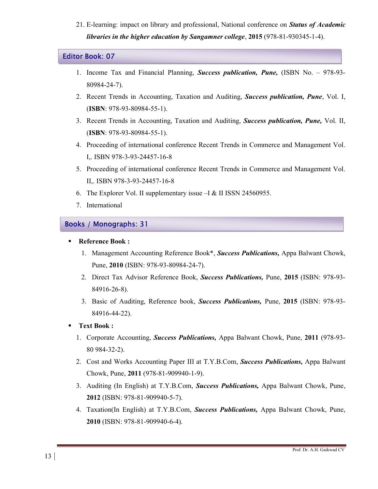21. E-learning: impact on library and professional, National conference on **Status of Academic** libraries in the higher education by Sangamner college, 2015 (978-81-930345-1-4).

#### Editor Book: 07

- 1. Income Tax and Financial Planning, Success publication, Pune, (ISBN No. 978-93- 80984-24-7).
- 2. Recent Trends in Accounting, Taxation and Auditing, **Success publication, Pune**, Vol. I, (ISBN: 978-93-80984-55-1).
- 3. Recent Trends in Accounting, Taxation and Auditing, Success publication, Pune, Vol. II, (ISBN: 978-93-80984-55-1).
- 4. Proceeding of international conference Recent Trends in Commerce and Management Vol. I,. ISBN 978-3-93-24457-16-8
- 5. Proceeding of international conference Recent Trends in Commerce and Management Vol. II,. ISBN 978-3-93-24457-16-8
- 6. The Explorer Vol. II supplementary issue –I & II ISSN 24560955.
- 7. International

## Books / Monographs: 31

#### Reference Book :

- 1. Management Accounting Reference Book\*, **Success Publications**, Appa Balwant Chowk, Pune, 2010 (ISBN: 978-93-80984-24-7).
- 2. Direct Tax Advisor Reference Book, Success Publications, Pune, 2015 (ISBN: 978-93-84916-26-8).
- 3. Basic of Auditing, Reference book, Success Publications, Pune, 2015 (ISBN: 978-93- 84916-44-22).
- Text Book :
	- 1. Corporate Accounting, *Success Publications*, Appa Balwant Chowk, Pune, 2011 (978-93-80 984-32-2).
	- 2. Cost and Works Accounting Paper III at T.Y.B.Com, Success Publications, Appa Balwant Chowk, Pune, 2011 (978-81-909940-1-9).
	- 3. Auditing (In English) at T.Y.B.Com, **Success Publications**, Appa Balwant Chowk, Pune, 2012 (ISBN: 978-81-909940-5-7).
	- 4. Taxation(In English) at T.Y.B.Com, Success Publications, Appa Balwant Chowk, Pune, 2010 (ISBN: 978-81-909940-6-4).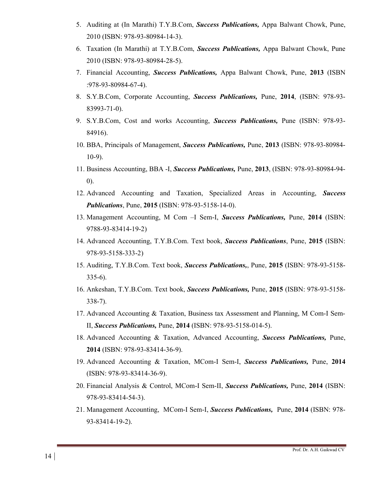- 5. Auditing at (In Marathi) T.Y.B.Com, Success Publications, Appa Balwant Chowk, Pune, 2010 (ISBN: 978-93-80984-14-3).
- 6. Taxation (In Marathi) at T.Y.B.Com, Success Publications, Appa Balwant Chowk, Pune 2010 (ISBN: 978-93-80984-28-5).
- 7. Financial Accounting, Success Publications, Appa Balwant Chowk, Pune, 2013 (ISBN :978-93-80984-67-4).
- 8. S.Y.B.Com, Corporate Accounting, Success Publications, Pune, 2014, (ISBN: 978-93- 83993-71-0).
- 9. S.Y.B.Com, Cost and works Accounting, Success Publications, Pune (ISBN: 978-93- 84916).
- 10. BBA, Principals of Management, Success Publications, Pune, 2013 (ISBN: 978-93-80984- 10-9).
- 11. Business Accounting, BBA -I, Success Publications, Pune, 2013, (ISBN: 978-93-80984-94- 0).
- 12. Advanced Accounting and Taxation, Specialized Areas in Accounting, Success Publications, Pune, 2015 (ISBN: 978-93-5158-14-0).
- 13. Management Accounting, M Com I Sem-I, Success Publications, Pune, 2014 (ISBN: 9788-93-83414-19-2)
- 14. Advanced Accounting, T.Y.B.Com. Text book, **Success Publications**, Pune, 2015 (ISBN: 978-93-5158-333-2)
- 15. Auditing, T.Y.B.Com. Text book, Success Publications,, Pune, 2015 (ISBN: 978-93-5158- 335-6).
- 16. Ankeshan, T.Y.B.Com. Text book, Success Publications, Pune, 2015 (ISBN: 978-93-5158-338-7).
- 17. Advanced Accounting & Taxation, Business tax Assessment and Planning, M Com-I Sem-II, Success Publications, Pune, 2014 (ISBN: 978-93-5158-014-5).
- 18. Advanced Accounting & Taxation, Advanced Accounting, Success Publications, Pune, 2014 (ISBN: 978-93-83414-36-9).
- 19. Advanced Accounting & Taxation, MCom-I Sem-I, Success Publications, Pune, 2014 (ISBN: 978-93-83414-36-9).
- 20. Financial Analysis & Control, MCom-I Sem-II, Success Publications, Pune, 2014 (ISBN: 978-93-83414-54-3).
- 21. Management Accounting, MCom-I Sem-I, Success Publications, Pune, 2014 (ISBN: 978- 93-83414-19-2).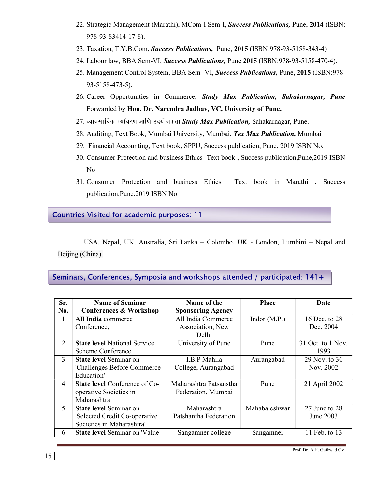- 22. Strategic Management (Marathi), MCom-I Sem-I, Success Publications, Pune, 2014 (ISBN: 978-93-83414-17-8).
- 23. Taxation, T.Y.B.Com, Success Publications, Pune, 2015 (ISBN:978-93-5158-343-4)
- 24. Labour law, BBA Sem-VI, Success Publications, Pune 2015 (ISBN:978-93-5158-470-4).
- 25. Management Control System, BBA Sem- VI, Success Publications, Pune, 2015 (ISBN:978- 93-5158-473-5).
- 26. Career Opportunities in Commerce, Study Max Publication, Sahakarnagar, Pune Forwarded by Hon. Dr. Narendra Jadhav, VC, University of Pune.
- 27. व्यावसायिक पर्यावरण आणि उदयोजकता Study Max Publication, Sahakarnagar, Pune.
- 28. Auditing, Text Book, Mumbai University, Mumbai, Tex Max Publication, Mumbai
- 29. Financial Accounting, Text book, SPPU, Success publication, Pune, 2019 ISBN No.
- 30. Consumer Protection and business Ethics Text book , Success publication,Pune,2019 ISBN No
- 31. Consumer Protection and business Ethics Text book in Marathi , Success publication,Pune,2019 ISBN No

## Countries Visited for academic purposes: 11

 USA, Nepal, UK, Australia, Sri Lanka – Colombo, UK - London, Lumbini – Nepal and Beijing (China).

## Seminars, Conferences, Symposia and workshops attended / participated: 141+

| Sr.            | <b>Name of Seminar</b>               | Name of the              | <b>Place</b>   | Date                |
|----------------|--------------------------------------|--------------------------|----------------|---------------------|
| No.            | <b>Conferences &amp; Workshop</b>    | <b>Sponsoring Agency</b> |                |                     |
| 1              | All India commerce                   | All India Commerce       | Indor $(M.P.)$ | 16 Dec. to 28       |
|                | Conference,                          | Association, New         |                | Dec. 2004           |
|                |                                      | Delhi                    |                |                     |
| $\overline{2}$ | <b>State level National Service</b>  | University of Pune       | Pune           | $31$ Oct. to 1 Nov. |
|                | Scheme Conference                    |                          |                | 1993                |
| 3              | State level Seminar on               | I.B.P Mahila             | Aurangabad     | 29 Nov. to 30       |
|                | 'Challenges Before Commerce          | College, Aurangabad      |                | Nov. 2002           |
|                | Education'                           |                          |                |                     |
| $\overline{4}$ | <b>State level Conference of Co-</b> | Maharashtra Patsanstha   | Pune           | 21 April 2002       |
|                | operative Societies in               | Federation, Mumbai       |                |                     |
|                | Maharashtra                          |                          |                |                     |
| 5              | State level Seminar on               | Maharashtra              | Mahabaleshwar  | 27 June to 28       |
|                | 'Selected Credit Co-operative        | Patshantha Federation    |                | June 2003           |
|                | Societies in Maharashtra'            |                          |                |                     |
| 6              | <b>State level Seminar on 'Value</b> | Sangamner college        | Sangamner      | 11 Feb. to 13       |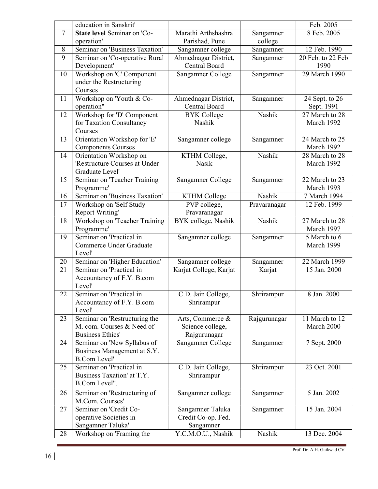|                | education in Sanskrit'                                   |                                  |              | Feb. 2005                    |
|----------------|----------------------------------------------------------|----------------------------------|--------------|------------------------------|
| $\overline{7}$ | <b>State level Seminar on 'Co-</b>                       | Marathi Arthshashra              | Sangamner    | 8 Feb. 2005                  |
|                | operation'                                               | Parishad, Pune                   | college      |                              |
| 8              | Seminar on 'Business Taxation'                           | Sangamner college                | Sangamner    | 12 Feb. 1990                 |
| 9              | Seminar on 'Co-operative Rural                           | Ahmednagar District,             | Sangamner    | 20 Feb. to 22 Feb            |
|                | Development'                                             | <b>Central Board</b>             |              | 1990                         |
| 10             | Workshop on 'C' Component                                | Sangamner College                | Sangamner    | 29 March 1990                |
|                | under the Restructuring                                  |                                  |              |                              |
|                | Courses                                                  |                                  |              |                              |
| 11             | Workshop on Youth & Co-                                  | Ahmednagar District,             | Sangamner    | 24 Sept. to 26               |
|                | operation"                                               | Central Board                    |              | Sept. 1991                   |
| 12             | Workshop for 'D' Component                               | <b>BYK</b> College               | Nashik       | 27 March to 28               |
|                | for Taxation Consultancy                                 | Nashik                           |              | March 1992                   |
|                | Courses                                                  |                                  |              |                              |
| 13             | Orientation Workshop for 'E'                             | Sangamner college                | Sangamner    | 24 March to 25               |
|                | <b>Components Courses</b>                                |                                  | Nashik       | March 1992<br>28 March to 28 |
| 14             | Orientation Workshop on<br>'Restructure Courses at Under | KTHM College,<br><b>Nasik</b>    |              | March 1992                   |
|                | Graduate Level'                                          |                                  |              |                              |
| 15             | Seminar on 'Teacher Training                             | Sangamner College                | Sangamner    | 22 March to 23               |
|                | Programme'                                               |                                  |              | March 1993                   |
| 16             | Seminar on 'Business Taxation'                           | <b>KTHM College</b>              | Nashik       | 7 March 1994                 |
| 17             | Workshop on 'Self Study                                  | PVP college,                     | Pravaranagar | 12 Feb. 1999                 |
|                | <b>Report Writing'</b>                                   | Pravaranagar                     |              |                              |
| 18             | Workshop on 'Teacher Training                            | BYK college, Nashik              | Nashik       | 27 March to 28               |
|                | Programme'                                               |                                  |              | March 1997                   |
| 19             | Seminar on 'Practical in                                 | Sangamner college                | Sangamner    | 5 March to 6                 |
|                | Commerce Under Graduate                                  |                                  |              | March 1999                   |
|                | Level'                                                   |                                  |              |                              |
| 20             | Seminar on 'Higher Education'                            | Sangamner college                | Sangamner    | 22 March 1999                |
| 21             | Seminar on 'Practical in                                 | Karjat College, Karjat           | Karjat       | 15 Jan. 2000                 |
|                | Accountancy of F.Y. B.com                                |                                  |              |                              |
|                | Level'                                                   |                                  |              |                              |
| 22             | Seminar on 'Practical in                                 | $\overline{C}$ .D. Jain College, | Shrirampur   | 8 Jan. 2000                  |
|                | Accountancy of F.Y. B.com<br>Level'                      | Shrirampur                       |              |                              |
| 23             | Seminar on 'Restructuring the                            | Arts, Commerce &                 |              | 11 March to 12               |
|                | M. com. Courses & Need of                                | Science college,                 | Rajgurunagar | March 2000                   |
|                | Business Ethics'                                         | Rajgurunagar                     |              |                              |
| 24             | Seminar on 'New Syllabus of                              | Sangamner College                | Sangamner    | 7 Sept. 2000                 |
|                | Business Management at S.Y.                              |                                  |              |                              |
|                | <b>B.Com Level'</b>                                      |                                  |              |                              |
| 25             | Seminar on 'Practical in                                 | C.D. Jain College,               | Shrirampur   | 23 Oct. 2001                 |
|                | Business Taxation' at T.Y.                               | Shrirampur                       |              |                              |
|                | B.Com Level".                                            |                                  |              |                              |
| 26             | Seminar on 'Restructuring of                             | Sangamner college                | Sangamner    | 5 Jan. 2002                  |
|                | M.Com. Courses'                                          |                                  |              |                              |
| 27             | Seminar on 'Credit Co-                                   | Sangamner Taluka                 | Sangamner    | 15 Jan. 2004                 |
|                | operative Societies in                                   | Credit Co-op. Fed.               |              |                              |
|                | Sangamner Taluka'                                        | Sangamner                        |              |                              |
| 28             | Workshop on 'Framing the                                 | Y.C.M.O.U., Nashik               | Nashik       | 13 Dec. 2004                 |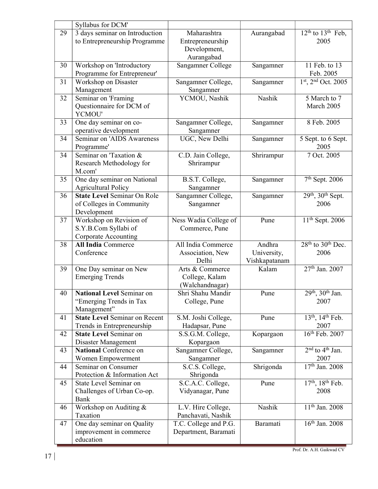|    | Syllabus for DCM'                                                              |                                                               |                                        |                                                  |
|----|--------------------------------------------------------------------------------|---------------------------------------------------------------|----------------------------------------|--------------------------------------------------|
| 29 | 3 days seminar on Introduction<br>to Entrepreneurship Programme                | Maharashtra<br>Entrepreneurship<br>Development,<br>Aurangabad | Aurangabad                             | $12th$ to $13th$ Feb,<br>2005                    |
| 30 | Workshop on 'Introductory<br>Programme for Entrepreneur'                       | Sangamner College                                             | Sangamner                              | $11$ Feb. to $13$<br>Feb. 2005                   |
| 31 | Workshop on Disaster<br>Management                                             | Sangamner College,<br>Sangamner                               | Sangamner                              | $1st$ , $2nd$ Oct. 2005                          |
| 32 | Seminar on 'Framing<br>Questionnaire for DCM of<br>YCMOU'                      | YCMOU, Nashik                                                 | Nashik                                 | 5 March to 7<br>March 2005                       |
| 33 | One day seminar on co-<br>operative development                                | Sangamner College,<br>Sangamner                               | Sangamner                              | 8 Feb. 2005                                      |
| 34 | Seminar on 'AIDS Awareness<br>Programme'                                       | UGC, New Delhi                                                | Sangamner                              | 5 Sept. to 6 Sept.<br>2005                       |
| 34 | Seminar on Taxation &<br>Research Methodology for<br>M.com'                    | C.D. Jain College,<br>Shrirampur                              | Shrirampur                             | 7 Oct. 2005                                      |
| 35 | One day seminar on National<br><b>Agricultural Policy</b>                      | B.S.T. College,<br>Sangamner                                  | Sangamner                              | $7th$ Sept. 2006                                 |
| 36 | <b>State Level Seminar On Role</b><br>of Colleges in Community<br>Development  | Sangamner College,<br>Sangamner                               | Sangamner                              | 29th, 30th Sept.<br>2006                         |
| 37 | Workshop on Revision of<br>S.Y.B.Com Syllabi of<br><b>Corporate Accounting</b> | Ness Wadia College of<br>Commerce, Pune                       | Pune                                   | $11th$ Sept. 2006                                |
| 38 | <b>All India Commerce</b><br>Conference                                        | All India Commerce<br>Association, New<br>Delhi               | Andhra<br>University,<br>Vishkapatanam | $28th$ to $30th$ Dec.<br>2006                    |
| 39 | One Day seminar on New<br><b>Emerging Trends</b>                               | Arts & Commerce<br>College, Kalam<br>(Walchandnagar)          | Kalam                                  | 27 <sup>th</sup> Jan. 2007                       |
| 40 | National Level Seminar on<br>"Emerging Trends in Tax<br>Management"            | Shri Shahu Mandir<br>College, Pune                            | Pune                                   | 29 <sup>th</sup> , 30 <sup>th</sup> Jan.<br>2007 |
| 41 | <b>State Level Seminar on Recent</b><br>Trends in Entrepreneurship             | S.M. Joshi College,<br>Hadapsar, Pune                         | Pune                                   | 13 <sup>th</sup> , 14 <sup>th</sup> Feb.<br>2007 |
| 42 | <b>State Level Seminar on</b><br>Disaster Management                           | S.S.G.M. College,<br>Kopargaon                                | Kopargaon                              | $16th$ Feb. 2007                                 |
| 43 | <b>National Conference on</b><br>Women Empowerment                             | Sangamner College,<br>Sangamner                               | Sangamner                              | $2nd$ to $4th$ Jan.<br>2007                      |
| 44 | Seminar on Consumer<br>Protection & Information Act                            | S.C.S. College,<br>Shrigonda                                  | Shrigonda                              | $\overline{17^{th}}$ Jan. 2008                   |
| 45 | State Level Seminar on<br>Challenges of Urban Co-op.<br>Bank                   | S.C.A.C. College,<br>Vidyanagar, Pune                         | Pune                                   | 17th, 18th Feb.<br>2008                          |
| 46 | Workshop on Auditing &<br>Taxation                                             | L.V. Hire College,<br>Panchavati, Nashik                      | Nashik                                 | $11th$ Jan. 2008                                 |
| 47 | One day seminar on Quality<br>improvement in commerce<br>education             | T.C. College and P.G.<br>Department, Baramati                 | Baramati                               | 16 <sup>th</sup> Jan. 2008                       |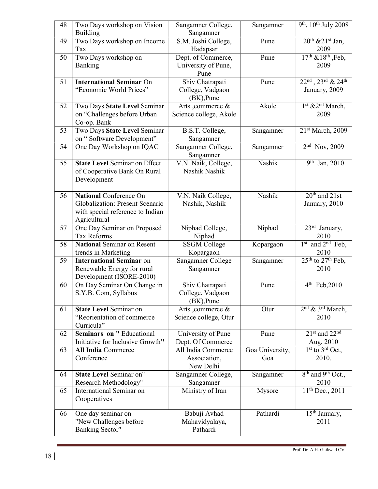| 48 | Two Days workshop on Vision<br><b>Building</b>                                                                       | Sangamner College,<br>Sangamner                      | Sangamner              | 9 <sup>th</sup> , 10 <sup>th</sup> July 2008      |
|----|----------------------------------------------------------------------------------------------------------------------|------------------------------------------------------|------------------------|---------------------------------------------------|
| 49 | Two Days workshop on Income<br>Tax                                                                                   | S.M. Joshi College,<br>Hadapsar                      | Pune                   | $20th$ & $21st$ Jan,<br>2009                      |
| 50 | Two Days workshop on<br>Banking                                                                                      | Dept. of Commerce,<br>University of Pune,<br>Pune    | Pune                   | $17th$ & $18th$ , Feb,<br>2009                    |
| 51 | <b>International Seminar On</b><br>"Economic World Prices"                                                           | Shiv Chatrapati<br>College, Vadgaon<br>$(BK)$ , Pune | Pune                   | 22nd, 23rd & 24th<br>January, 2009                |
| 52 | Two Days State Level Seminar<br>on "Challenges before Urban<br>Co-op. Bank                                           | Arts ,commerce &<br>Science college, Akole           | Akole                  | 1st &2nd March,<br>2009                           |
| 53 | Two Days State Level Seminar<br>on "Software Development"                                                            | B.S.T. College,<br>Sangamner                         | Sangamner              | 21st March, 2009                                  |
| 54 | One Day Workshop on IQAC                                                                                             | Sangamner College,<br>Sangamner                      | Sangamner              | $2nd$ Nov, 2009                                   |
| 55 | <b>State Level Seminar on Effect</b><br>of Cooperative Bank On Rural<br>Development                                  | V.N. Naik, College,<br>Nashik Nashik                 | Nashik                 | 19th Jan, 2010                                    |
| 56 | <b>National Conference On</b><br>Globalization: Present Scenario<br>with special reference to Indian<br>Agricultural | V.N. Naik College,<br>Nashik, Nashik                 | Nashik                 | $20th$ and $21st$<br>January, 2010                |
| 57 | One Day Seminar on Proposed<br><b>Tax Reforms</b>                                                                    | Niphad College,<br>Niphad                            | Niphad                 | 23rd January,<br>2010                             |
| 58 | <b>National Seminar on Resent</b><br>trends in Marketing                                                             | <b>SSGM College</b><br>Kopargaon                     | Kopargaon              | 1st and 2 <sup>nd</sup> Feb,<br>2010              |
| 59 | <b>International Seminar on</b><br>Renewable Energy for rural<br>Development (ISORE-2010)                            | Sangamner College<br>Sangamner                       | Sangamner              | $25th$ to $27th$ Feb,<br>2010                     |
| 60 | On Day Seminar On Change in<br>S.Y.B. Com, Syllabus                                                                  | Shiv Chatrapati<br>College, Vadgaon<br>(BK), Pune    | Pune                   | $4^{th}$ Feb, 2010                                |
| 61 | <b>State Level Seminar on</b><br>"Reorientation of commerce<br>Curricula"                                            | Arts, commerce &<br>Science college, Otur            | Otur                   | 2 <sup>nd</sup> & 3 <sup>rd</sup> March,<br>2010  |
| 62 | <b>Seminars on "Educational</b><br>Initiative for Inclusive Growth"                                                  | University of Pune<br>Dept. Of Commerce              | Pune                   | $21st$ and $22nd$<br>Aug. 2010                    |
| 63 | <b>All India Commerce</b><br>Conference                                                                              | All India Commerce<br>Association,<br>New Delhi      | Goa University,<br>Goa | $1st$ to $3rd$ Oct,<br>2010.                      |
| 64 | <b>State Level Seminar on"</b><br>Research Methodology"                                                              | Sangamner College,<br>Sangamner                      | Sangamner              | 8 <sup>th</sup> and 9 <sup>th</sup> Oct.,<br>2010 |
| 65 | International Seminar on<br>Cooperatives                                                                             | Ministry of Iran                                     | Mysore                 | $11th$ Dec., 2011                                 |
| 66 | One day seminar on<br>"New Challenges before<br><b>Banking Sector"</b>                                               | Babuji Avhad<br>Mahavidyalaya,<br>Pathardi           | Pathardi               | $\overline{15^{th}}$ January,<br>2011             |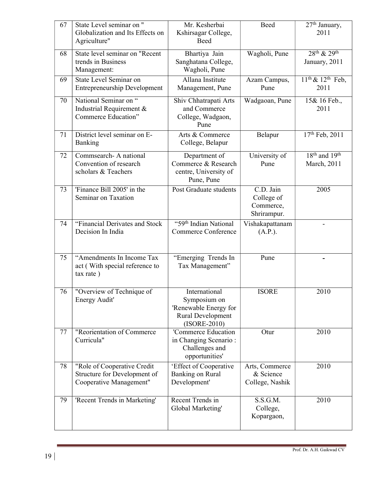| 67 | State Level seminar on "                 | Mr. Kesherbai                           | Beed            | 27 <sup>th</sup> January,           |
|----|------------------------------------------|-----------------------------------------|-----------------|-------------------------------------|
|    | Globalization and Its Effects on         | Kshirsagar College,                     |                 | 2011                                |
|    | Agriculture"                             | Beed                                    |                 |                                     |
| 68 | State level seminar on "Recent           | Bhartiya Jain                           | Wagholi, Pune   | 28 <sup>th</sup> & 29 <sup>th</sup> |
|    | trends in Business                       | Sanghatana College,                     |                 | January, 2011                       |
|    | Management:                              | Wagholi, Pune                           |                 |                                     |
| 69 | State Level Seminar on                   | Allana Institute                        | Azam Campus,    | $11th$ & $12th$ Feb,                |
|    | <b>Entrepreneurship Development</b>      | Management, Pune                        | Pune            | 2011                                |
| 70 | National Seminar on "                    | Shiv Chhatrapati Arts                   | Wadgaoan, Pune  | 15& 16 Feb.,                        |
|    | Industrial Requirement &                 | and Commerce                            |                 | 2011                                |
|    | Commerce Education"                      | College, Wadgaon,                       |                 |                                     |
|    |                                          | Pune                                    |                 |                                     |
| 71 | District level seminar on E-             | Arts & Commerce                         | Belapur         | 17th Feb, 2011                      |
|    | Banking                                  | College, Belapur                        |                 |                                     |
| 72 | Commsearch- A national                   | Department of                           | University of   | $18th$ and $19th$                   |
|    | Convention of research                   | Commerce & Research                     | Pune            | March, 2011                         |
|    | scholars & Teachers                      | centre, University of                   |                 |                                     |
|    |                                          | Pune, Pune                              |                 |                                     |
| 73 | 'Finance Bill 2005' in the               | Post Graduate students                  | C.D. Jain       | 2005                                |
|    | Seminar on Taxation                      |                                         | College of      |                                     |
|    |                                          |                                         | Commerce,       |                                     |
|    |                                          |                                         | Shrirampur.     |                                     |
| 74 | "Financial Derivates and Stock           | "59 <sup>th</sup> Indian National       | Vishakapattanam |                                     |
|    | Decision In India                        | <b>Commerce Conference</b>              | (A.P.).         |                                     |
|    |                                          |                                         |                 |                                     |
| 75 | "Amendments In Income Tax                | "Emerging Trends In                     | Pune            |                                     |
|    | act (With special reference to           | Tax Management"                         |                 |                                     |
|    | tax rate)                                |                                         |                 |                                     |
|    |                                          |                                         |                 |                                     |
| 76 | "Overview of Technique of                | International                           | <b>ISORE</b>    | 2010                                |
|    | Energy Audit'                            | Symposium on                            |                 |                                     |
|    |                                          | 'Renewable Energy for                   |                 |                                     |
|    |                                          | Rural Development                       |                 |                                     |
|    |                                          | $(ISORE-2010)$                          |                 |                                     |
| 77 | "Reorientation of Commerce<br>Curricula" | 'Commerce Education                     | Otur            | 2010                                |
|    |                                          | in Changing Scenario:<br>Challenges and |                 |                                     |
|    |                                          | opportunities'                          |                 |                                     |
| 78 | "Role of Cooperative Credit              | 'Effect of Cooperative                  | Arts, Commerce  | 2010                                |
|    | Structure for Development of             | Banking on Rural                        | & Science       |                                     |
|    | Cooperative Management"                  | Development'                            | College, Nashik |                                     |
|    |                                          |                                         |                 |                                     |
| 79 | 'Recent Trends in Marketing'             | Recent Trends in                        | S.S.G.M.        | 2010                                |
|    |                                          | Global Marketing'                       | College,        |                                     |
|    |                                          |                                         | Kopargaon,      |                                     |
|    |                                          |                                         |                 |                                     |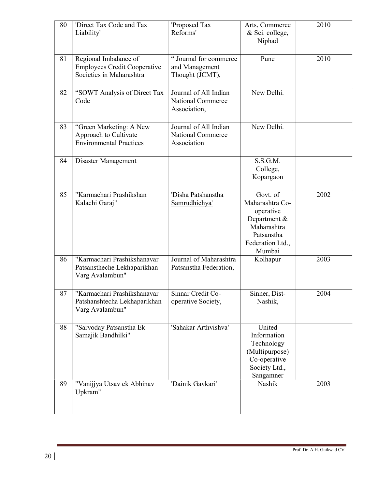| 80 | 'Direct Tax Code and Tax<br>Liability'                                                   | 'Proposed Tax<br>Reforms'                                         | Arts, Commerce<br>& Sci. college,<br>Niphad                                                                         | 2010 |
|----|------------------------------------------------------------------------------------------|-------------------------------------------------------------------|---------------------------------------------------------------------------------------------------------------------|------|
| 81 | Regional Imbalance of<br><b>Employees Credit Cooperative</b><br>Societies in Maharashtra | "Journal for commerce<br>and Management<br>Thought (JCMT),        | Pune                                                                                                                | 2010 |
| 82 | "SOWT Analysis of Direct Tax<br>Code                                                     | Journal of All Indian<br><b>National Commerce</b><br>Association, | New Delhi.                                                                                                          |      |
| 83 | "Green Marketing: A New<br>Approach to Cultivate<br><b>Environmental Practices</b>       | Journal of All Indian<br><b>National Commerce</b><br>Association  | New Delhi.                                                                                                          |      |
| 84 | Disaster Management                                                                      |                                                                   | S.S.G.M.<br>College,<br>Kopargaon                                                                                   |      |
| 85 | "Karmachari Prashikshan<br>Kalachi Garaj"                                                | 'Disha Patshanstha<br>Samrudhichya'                               | Govt. of<br>Maharashtra Co-<br>operative<br>Department &<br>Maharashtra<br>Patsanstha<br>Federation Ltd.,<br>Mumbai | 2002 |
| 86 | "Karmachari Prashikshanavar<br>Patsanstheche Lekhaparikhan<br>Varg Avalambun"            | Journal of Maharashtra<br>Patsanstha Federation,                  | Kolhapur                                                                                                            | 2003 |
| 87 | "Karmachari Prashikshanavar<br>Patshanshtecha Lekhaparikhan<br>Varg Avalambun"           | Sinnar Credit Co-<br>operative Society,                           | Sinner, Dist-<br>Nashik,                                                                                            | 2004 |
| 88 | "Sarvoday Patsanstha Ek<br>Samajik Bandhilki"                                            | 'Sahakar Arthvishva'                                              | United<br>Information<br>Technology<br>(Multipurpose)<br>Co-operative<br>Society Ltd.,<br>Sangamner                 |      |
| 89 | "Vanijjya Utsav ek Abhinav<br>Upkram"                                                    | 'Dainik Gavkari'                                                  | Nashik                                                                                                              | 2003 |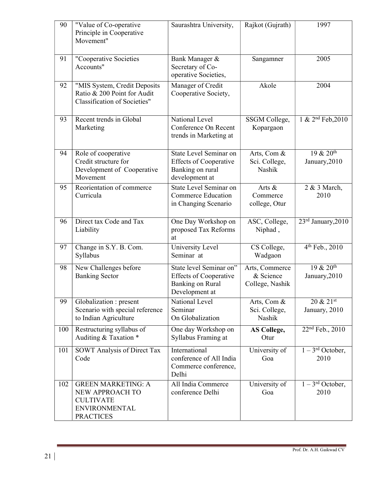| 90  | "Value of Co-operative<br>Principle in Cooperative<br>Movement"                                              | Saurashtra University,                                                                         | Rajkot (Gujrath)                               | 1997                                     |
|-----|--------------------------------------------------------------------------------------------------------------|------------------------------------------------------------------------------------------------|------------------------------------------------|------------------------------------------|
| 91  | "Cooperative Societies<br>Accounts"                                                                          | Bank Manager &<br>Secretary of Co-<br>operative Societies,                                     | Sangamner                                      | 2005                                     |
| 92  | "MIS System, Credit Deposits<br>Ratio & 200 Point for Audit<br><b>Classification of Societies"</b>           | Manager of Credit<br>Cooperative Society,                                                      | Akole                                          | 2004                                     |
| 93  | Recent trends in Global<br>Marketing                                                                         | National Level<br>Conference On Recent<br>trends in Marketing at                               | SSGM College,<br>Kopargaon                     | 1 & 2 <sup>nd</sup> Feb, 2010            |
| 94  | Role of cooperative<br>Credit structure for<br>Development of Cooperative<br>Movement                        | State Level Seminar on<br><b>Effects of Cooperative</b><br>Banking on rural<br>development at  | Arts, Com &<br>Sci. College,<br>Nashik         | $19 & 20$ <sup>th</sup><br>January, 2010 |
| 95  | Reorientation of commerce<br>Curricula                                                                       | State Level Seminar on<br><b>Commerce Education</b><br>in Changing Scenario                    | Arts &<br>Commerce<br>college, Otur            | 2 & 3 March,<br>2010                     |
| 96  | Direct tax Code and Tax<br>Liability                                                                         | One Day Workshop on<br>proposed Tax Reforms<br>at                                              | ASC, College,<br>Niphad,                       | 23rd January, 2010                       |
| 97  | Change in S.Y. B. Com.<br>Syllabus                                                                           | University Level<br>Seminar at                                                                 | CS College,<br>Wadgaon                         | 4 <sup>th</sup> Feb., 2010               |
| 98  | New Challenges before<br><b>Banking Sector</b>                                                               | State level Seminar on"<br><b>Effects of Cooperative</b><br>Banking on Rural<br>Development at | Arts, Commerce<br>& Science<br>College, Nashik | $19 & 20$ <sup>th</sup><br>January, 2010 |
| 99  | Globalization : present<br>Scenario with special reference<br>to Indian Agriculture                          | National Level<br>Seminar<br>On Globalization                                                  | Arts, Com &<br>Sci. College,<br>Nashik         | 20 & 21st<br>January, 2010               |
| 100 | Restructuring syllabus of<br>Auditing & Taxation *                                                           | One day Workshop on<br>Syllabus Framing at                                                     | <b>AS College,</b><br>Otur                     | 22 <sup>nd</sup> Feb., 2010              |
| 101 | SOWT Analysis of Direct Tax<br>Code                                                                          | International<br>conference of All India<br>Commerce conference,<br>Delhi                      | University of<br>Goa                           | $1-3^{rd}$ October,<br>2010              |
| 102 | <b>GREEN MARKETING: A</b><br>NEW APPROACH TO<br><b>CULTIVATE</b><br><b>ENVIRONMENTAL</b><br><b>PRACTICES</b> | All India Commerce<br>conference Delhi                                                         | University of<br>Goa                           | $1-3^{rd}$ October,<br>2010              |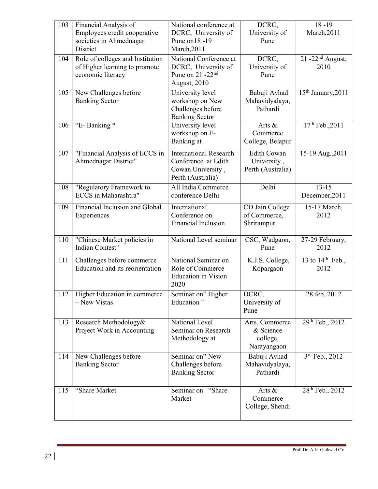| Employees credit cooperative<br>DCRC, University of<br>University of<br>March, 2011<br>Pune on 18 - 19<br>societies in Ahmednagar<br>Pune<br>March, 2011<br>District<br>Role of colleges and Institution<br>National Conference at<br>DCRC,<br>$21 - 22nd$ August,<br>104<br>of Higher learning to promote<br>DCRC, University of<br>University of<br>2010<br>Pune on 21 -22 <sup>nd</sup><br>economic literacy<br>Pune<br>August, 2010<br>New Challenges before<br>University level<br>Babuji Avhad<br>15 <sup>th</sup> January, 2011<br>105<br>Mahavidyalaya,<br><b>Banking Sector</b><br>workshop on New<br>Challenges before<br>Pathardi<br><b>Banking Sector</b><br>"E-Banking *<br>17th Feb., 2011<br>University level<br>106<br>Arts &<br>workshop on E-<br>Commerce<br>Banking at<br>College, Belapur<br><b>International Research</b><br>107<br>"Financial Analysis of ECCS in<br><b>Edith Cowan</b><br>15-19 Aug., 2011<br>Conference at Edith<br>Ahmednagar District"<br>University,<br>Perth (Australia)<br>Cowan University,<br>Perth (Australia)<br>Delhi<br>$13 - 15$<br>All India Commerce<br>108<br>"Regulatory Framework to<br>ECCS in Maharashtra"<br>December, 2011<br>conference Delhi<br>Financial Inclusion and Global<br>109<br>International<br>15-17 March,<br>CD Jain College<br>Conference on<br>of Commerce,<br>2012<br>Experiences<br><b>Financial Inclusion</b><br>Shrirampur<br>National Level seminar<br>"Chinese Market policies in<br>CSC, Wadgaon,<br>110<br>27-29 February,<br>Indian Contest"<br>Pune<br>2012<br>National Seminar on<br>13 to $14th$ Feb.,<br>111<br>Challenges before commerce<br>K.J.S. College,<br>Education and its reorientation<br>Role of Commerce<br>Kopargaon<br>2012<br><b>Education</b> in Vision<br>2020<br>Higher Education in commerce<br>Seminar on" Higher<br>DCRC,<br>28 feb, 2012<br>112<br><b>Education</b> "<br>- New Vistas<br>University of<br>Pune<br>29th Feb., 2012<br>National Level<br>113<br>Research Methodology&<br>Arts, Commerce<br>Project Work in Accounting<br>Seminar on Research<br>& Science<br>college,<br>Methodology at<br>Narayangaon<br>3rd Feb., 2012<br>New Challenges before<br>Seminar on" New<br>Babuji Avhad<br>114<br><b>Banking Sector</b><br>Challenges before<br>Mahavidyalaya,<br>Pathardi<br><b>Banking Sector</b><br>"Share Market<br>Seminar on<br>"Share<br>28 <sup>th</sup> Feb., 2012<br>115<br>Arts & | 103 | Financial Analysis of | National conference at | DCRC,    | $\frac{18-19}{2}$ |
|--------------------------------------------------------------------------------------------------------------------------------------------------------------------------------------------------------------------------------------------------------------------------------------------------------------------------------------------------------------------------------------------------------------------------------------------------------------------------------------------------------------------------------------------------------------------------------------------------------------------------------------------------------------------------------------------------------------------------------------------------------------------------------------------------------------------------------------------------------------------------------------------------------------------------------------------------------------------------------------------------------------------------------------------------------------------------------------------------------------------------------------------------------------------------------------------------------------------------------------------------------------------------------------------------------------------------------------------------------------------------------------------------------------------------------------------------------------------------------------------------------------------------------------------------------------------------------------------------------------------------------------------------------------------------------------------------------------------------------------------------------------------------------------------------------------------------------------------------------------------------------------------------------------------------------------------------------------------------------------------------------------------------------------------------------------------------------------------------------------------------------------------------------------------------------------------------------------------------------------------------------------------------------------------------------------------------------------------------------------------------------------------------------------------------|-----|-----------------------|------------------------|----------|-------------------|
|                                                                                                                                                                                                                                                                                                                                                                                                                                                                                                                                                                                                                                                                                                                                                                                                                                                                                                                                                                                                                                                                                                                                                                                                                                                                                                                                                                                                                                                                                                                                                                                                                                                                                                                                                                                                                                                                                                                                                                                                                                                                                                                                                                                                                                                                                                                                                                                                                          |     |                       |                        |          |                   |
|                                                                                                                                                                                                                                                                                                                                                                                                                                                                                                                                                                                                                                                                                                                                                                                                                                                                                                                                                                                                                                                                                                                                                                                                                                                                                                                                                                                                                                                                                                                                                                                                                                                                                                                                                                                                                                                                                                                                                                                                                                                                                                                                                                                                                                                                                                                                                                                                                          |     |                       |                        |          |                   |
|                                                                                                                                                                                                                                                                                                                                                                                                                                                                                                                                                                                                                                                                                                                                                                                                                                                                                                                                                                                                                                                                                                                                                                                                                                                                                                                                                                                                                                                                                                                                                                                                                                                                                                                                                                                                                                                                                                                                                                                                                                                                                                                                                                                                                                                                                                                                                                                                                          |     |                       |                        |          |                   |
|                                                                                                                                                                                                                                                                                                                                                                                                                                                                                                                                                                                                                                                                                                                                                                                                                                                                                                                                                                                                                                                                                                                                                                                                                                                                                                                                                                                                                                                                                                                                                                                                                                                                                                                                                                                                                                                                                                                                                                                                                                                                                                                                                                                                                                                                                                                                                                                                                          |     |                       |                        |          |                   |
|                                                                                                                                                                                                                                                                                                                                                                                                                                                                                                                                                                                                                                                                                                                                                                                                                                                                                                                                                                                                                                                                                                                                                                                                                                                                                                                                                                                                                                                                                                                                                                                                                                                                                                                                                                                                                                                                                                                                                                                                                                                                                                                                                                                                                                                                                                                                                                                                                          |     |                       |                        |          |                   |
|                                                                                                                                                                                                                                                                                                                                                                                                                                                                                                                                                                                                                                                                                                                                                                                                                                                                                                                                                                                                                                                                                                                                                                                                                                                                                                                                                                                                                                                                                                                                                                                                                                                                                                                                                                                                                                                                                                                                                                                                                                                                                                                                                                                                                                                                                                                                                                                                                          |     |                       |                        |          |                   |
|                                                                                                                                                                                                                                                                                                                                                                                                                                                                                                                                                                                                                                                                                                                                                                                                                                                                                                                                                                                                                                                                                                                                                                                                                                                                                                                                                                                                                                                                                                                                                                                                                                                                                                                                                                                                                                                                                                                                                                                                                                                                                                                                                                                                                                                                                                                                                                                                                          |     |                       |                        |          |                   |
|                                                                                                                                                                                                                                                                                                                                                                                                                                                                                                                                                                                                                                                                                                                                                                                                                                                                                                                                                                                                                                                                                                                                                                                                                                                                                                                                                                                                                                                                                                                                                                                                                                                                                                                                                                                                                                                                                                                                                                                                                                                                                                                                                                                                                                                                                                                                                                                                                          |     |                       |                        |          |                   |
|                                                                                                                                                                                                                                                                                                                                                                                                                                                                                                                                                                                                                                                                                                                                                                                                                                                                                                                                                                                                                                                                                                                                                                                                                                                                                                                                                                                                                                                                                                                                                                                                                                                                                                                                                                                                                                                                                                                                                                                                                                                                                                                                                                                                                                                                                                                                                                                                                          |     |                       |                        |          |                   |
|                                                                                                                                                                                                                                                                                                                                                                                                                                                                                                                                                                                                                                                                                                                                                                                                                                                                                                                                                                                                                                                                                                                                                                                                                                                                                                                                                                                                                                                                                                                                                                                                                                                                                                                                                                                                                                                                                                                                                                                                                                                                                                                                                                                                                                                                                                                                                                                                                          |     |                       |                        |          |                   |
|                                                                                                                                                                                                                                                                                                                                                                                                                                                                                                                                                                                                                                                                                                                                                                                                                                                                                                                                                                                                                                                                                                                                                                                                                                                                                                                                                                                                                                                                                                                                                                                                                                                                                                                                                                                                                                                                                                                                                                                                                                                                                                                                                                                                                                                                                                                                                                                                                          |     |                       |                        |          |                   |
|                                                                                                                                                                                                                                                                                                                                                                                                                                                                                                                                                                                                                                                                                                                                                                                                                                                                                                                                                                                                                                                                                                                                                                                                                                                                                                                                                                                                                                                                                                                                                                                                                                                                                                                                                                                                                                                                                                                                                                                                                                                                                                                                                                                                                                                                                                                                                                                                                          |     |                       |                        |          |                   |
|                                                                                                                                                                                                                                                                                                                                                                                                                                                                                                                                                                                                                                                                                                                                                                                                                                                                                                                                                                                                                                                                                                                                                                                                                                                                                                                                                                                                                                                                                                                                                                                                                                                                                                                                                                                                                                                                                                                                                                                                                                                                                                                                                                                                                                                                                                                                                                                                                          |     |                       |                        |          |                   |
|                                                                                                                                                                                                                                                                                                                                                                                                                                                                                                                                                                                                                                                                                                                                                                                                                                                                                                                                                                                                                                                                                                                                                                                                                                                                                                                                                                                                                                                                                                                                                                                                                                                                                                                                                                                                                                                                                                                                                                                                                                                                                                                                                                                                                                                                                                                                                                                                                          |     |                       |                        |          |                   |
|                                                                                                                                                                                                                                                                                                                                                                                                                                                                                                                                                                                                                                                                                                                                                                                                                                                                                                                                                                                                                                                                                                                                                                                                                                                                                                                                                                                                                                                                                                                                                                                                                                                                                                                                                                                                                                                                                                                                                                                                                                                                                                                                                                                                                                                                                                                                                                                                                          |     |                       |                        |          |                   |
|                                                                                                                                                                                                                                                                                                                                                                                                                                                                                                                                                                                                                                                                                                                                                                                                                                                                                                                                                                                                                                                                                                                                                                                                                                                                                                                                                                                                                                                                                                                                                                                                                                                                                                                                                                                                                                                                                                                                                                                                                                                                                                                                                                                                                                                                                                                                                                                                                          |     |                       |                        |          |                   |
|                                                                                                                                                                                                                                                                                                                                                                                                                                                                                                                                                                                                                                                                                                                                                                                                                                                                                                                                                                                                                                                                                                                                                                                                                                                                                                                                                                                                                                                                                                                                                                                                                                                                                                                                                                                                                                                                                                                                                                                                                                                                                                                                                                                                                                                                                                                                                                                                                          |     |                       |                        |          |                   |
|                                                                                                                                                                                                                                                                                                                                                                                                                                                                                                                                                                                                                                                                                                                                                                                                                                                                                                                                                                                                                                                                                                                                                                                                                                                                                                                                                                                                                                                                                                                                                                                                                                                                                                                                                                                                                                                                                                                                                                                                                                                                                                                                                                                                                                                                                                                                                                                                                          |     |                       |                        |          |                   |
|                                                                                                                                                                                                                                                                                                                                                                                                                                                                                                                                                                                                                                                                                                                                                                                                                                                                                                                                                                                                                                                                                                                                                                                                                                                                                                                                                                                                                                                                                                                                                                                                                                                                                                                                                                                                                                                                                                                                                                                                                                                                                                                                                                                                                                                                                                                                                                                                                          |     |                       |                        |          |                   |
|                                                                                                                                                                                                                                                                                                                                                                                                                                                                                                                                                                                                                                                                                                                                                                                                                                                                                                                                                                                                                                                                                                                                                                                                                                                                                                                                                                                                                                                                                                                                                                                                                                                                                                                                                                                                                                                                                                                                                                                                                                                                                                                                                                                                                                                                                                                                                                                                                          |     |                       |                        |          |                   |
|                                                                                                                                                                                                                                                                                                                                                                                                                                                                                                                                                                                                                                                                                                                                                                                                                                                                                                                                                                                                                                                                                                                                                                                                                                                                                                                                                                                                                                                                                                                                                                                                                                                                                                                                                                                                                                                                                                                                                                                                                                                                                                                                                                                                                                                                                                                                                                                                                          |     |                       |                        |          |                   |
|                                                                                                                                                                                                                                                                                                                                                                                                                                                                                                                                                                                                                                                                                                                                                                                                                                                                                                                                                                                                                                                                                                                                                                                                                                                                                                                                                                                                                                                                                                                                                                                                                                                                                                                                                                                                                                                                                                                                                                                                                                                                                                                                                                                                                                                                                                                                                                                                                          |     |                       |                        |          |                   |
|                                                                                                                                                                                                                                                                                                                                                                                                                                                                                                                                                                                                                                                                                                                                                                                                                                                                                                                                                                                                                                                                                                                                                                                                                                                                                                                                                                                                                                                                                                                                                                                                                                                                                                                                                                                                                                                                                                                                                                                                                                                                                                                                                                                                                                                                                                                                                                                                                          |     |                       |                        |          |                   |
|                                                                                                                                                                                                                                                                                                                                                                                                                                                                                                                                                                                                                                                                                                                                                                                                                                                                                                                                                                                                                                                                                                                                                                                                                                                                                                                                                                                                                                                                                                                                                                                                                                                                                                                                                                                                                                                                                                                                                                                                                                                                                                                                                                                                                                                                                                                                                                                                                          |     |                       |                        |          |                   |
|                                                                                                                                                                                                                                                                                                                                                                                                                                                                                                                                                                                                                                                                                                                                                                                                                                                                                                                                                                                                                                                                                                                                                                                                                                                                                                                                                                                                                                                                                                                                                                                                                                                                                                                                                                                                                                                                                                                                                                                                                                                                                                                                                                                                                                                                                                                                                                                                                          |     |                       |                        |          |                   |
|                                                                                                                                                                                                                                                                                                                                                                                                                                                                                                                                                                                                                                                                                                                                                                                                                                                                                                                                                                                                                                                                                                                                                                                                                                                                                                                                                                                                                                                                                                                                                                                                                                                                                                                                                                                                                                                                                                                                                                                                                                                                                                                                                                                                                                                                                                                                                                                                                          |     |                       |                        |          |                   |
|                                                                                                                                                                                                                                                                                                                                                                                                                                                                                                                                                                                                                                                                                                                                                                                                                                                                                                                                                                                                                                                                                                                                                                                                                                                                                                                                                                                                                                                                                                                                                                                                                                                                                                                                                                                                                                                                                                                                                                                                                                                                                                                                                                                                                                                                                                                                                                                                                          |     |                       |                        |          |                   |
|                                                                                                                                                                                                                                                                                                                                                                                                                                                                                                                                                                                                                                                                                                                                                                                                                                                                                                                                                                                                                                                                                                                                                                                                                                                                                                                                                                                                                                                                                                                                                                                                                                                                                                                                                                                                                                                                                                                                                                                                                                                                                                                                                                                                                                                                                                                                                                                                                          |     |                       |                        |          |                   |
|                                                                                                                                                                                                                                                                                                                                                                                                                                                                                                                                                                                                                                                                                                                                                                                                                                                                                                                                                                                                                                                                                                                                                                                                                                                                                                                                                                                                                                                                                                                                                                                                                                                                                                                                                                                                                                                                                                                                                                                                                                                                                                                                                                                                                                                                                                                                                                                                                          |     |                       |                        |          |                   |
|                                                                                                                                                                                                                                                                                                                                                                                                                                                                                                                                                                                                                                                                                                                                                                                                                                                                                                                                                                                                                                                                                                                                                                                                                                                                                                                                                                                                                                                                                                                                                                                                                                                                                                                                                                                                                                                                                                                                                                                                                                                                                                                                                                                                                                                                                                                                                                                                                          |     |                       |                        |          |                   |
|                                                                                                                                                                                                                                                                                                                                                                                                                                                                                                                                                                                                                                                                                                                                                                                                                                                                                                                                                                                                                                                                                                                                                                                                                                                                                                                                                                                                                                                                                                                                                                                                                                                                                                                                                                                                                                                                                                                                                                                                                                                                                                                                                                                                                                                                                                                                                                                                                          |     |                       |                        |          |                   |
|                                                                                                                                                                                                                                                                                                                                                                                                                                                                                                                                                                                                                                                                                                                                                                                                                                                                                                                                                                                                                                                                                                                                                                                                                                                                                                                                                                                                                                                                                                                                                                                                                                                                                                                                                                                                                                                                                                                                                                                                                                                                                                                                                                                                                                                                                                                                                                                                                          |     |                       |                        |          |                   |
|                                                                                                                                                                                                                                                                                                                                                                                                                                                                                                                                                                                                                                                                                                                                                                                                                                                                                                                                                                                                                                                                                                                                                                                                                                                                                                                                                                                                                                                                                                                                                                                                                                                                                                                                                                                                                                                                                                                                                                                                                                                                                                                                                                                                                                                                                                                                                                                                                          |     |                       |                        |          |                   |
|                                                                                                                                                                                                                                                                                                                                                                                                                                                                                                                                                                                                                                                                                                                                                                                                                                                                                                                                                                                                                                                                                                                                                                                                                                                                                                                                                                                                                                                                                                                                                                                                                                                                                                                                                                                                                                                                                                                                                                                                                                                                                                                                                                                                                                                                                                                                                                                                                          |     |                       |                        |          |                   |
|                                                                                                                                                                                                                                                                                                                                                                                                                                                                                                                                                                                                                                                                                                                                                                                                                                                                                                                                                                                                                                                                                                                                                                                                                                                                                                                                                                                                                                                                                                                                                                                                                                                                                                                                                                                                                                                                                                                                                                                                                                                                                                                                                                                                                                                                                                                                                                                                                          |     |                       |                        |          |                   |
|                                                                                                                                                                                                                                                                                                                                                                                                                                                                                                                                                                                                                                                                                                                                                                                                                                                                                                                                                                                                                                                                                                                                                                                                                                                                                                                                                                                                                                                                                                                                                                                                                                                                                                                                                                                                                                                                                                                                                                                                                                                                                                                                                                                                                                                                                                                                                                                                                          |     |                       |                        |          |                   |
|                                                                                                                                                                                                                                                                                                                                                                                                                                                                                                                                                                                                                                                                                                                                                                                                                                                                                                                                                                                                                                                                                                                                                                                                                                                                                                                                                                                                                                                                                                                                                                                                                                                                                                                                                                                                                                                                                                                                                                                                                                                                                                                                                                                                                                                                                                                                                                                                                          |     |                       |                        |          |                   |
|                                                                                                                                                                                                                                                                                                                                                                                                                                                                                                                                                                                                                                                                                                                                                                                                                                                                                                                                                                                                                                                                                                                                                                                                                                                                                                                                                                                                                                                                                                                                                                                                                                                                                                                                                                                                                                                                                                                                                                                                                                                                                                                                                                                                                                                                                                                                                                                                                          |     |                       |                        |          |                   |
|                                                                                                                                                                                                                                                                                                                                                                                                                                                                                                                                                                                                                                                                                                                                                                                                                                                                                                                                                                                                                                                                                                                                                                                                                                                                                                                                                                                                                                                                                                                                                                                                                                                                                                                                                                                                                                                                                                                                                                                                                                                                                                                                                                                                                                                                                                                                                                                                                          |     |                       |                        |          |                   |
|                                                                                                                                                                                                                                                                                                                                                                                                                                                                                                                                                                                                                                                                                                                                                                                                                                                                                                                                                                                                                                                                                                                                                                                                                                                                                                                                                                                                                                                                                                                                                                                                                                                                                                                                                                                                                                                                                                                                                                                                                                                                                                                                                                                                                                                                                                                                                                                                                          |     |                       |                        |          |                   |
|                                                                                                                                                                                                                                                                                                                                                                                                                                                                                                                                                                                                                                                                                                                                                                                                                                                                                                                                                                                                                                                                                                                                                                                                                                                                                                                                                                                                                                                                                                                                                                                                                                                                                                                                                                                                                                                                                                                                                                                                                                                                                                                                                                                                                                                                                                                                                                                                                          |     |                       |                        |          |                   |
|                                                                                                                                                                                                                                                                                                                                                                                                                                                                                                                                                                                                                                                                                                                                                                                                                                                                                                                                                                                                                                                                                                                                                                                                                                                                                                                                                                                                                                                                                                                                                                                                                                                                                                                                                                                                                                                                                                                                                                                                                                                                                                                                                                                                                                                                                                                                                                                                                          |     |                       |                        |          |                   |
|                                                                                                                                                                                                                                                                                                                                                                                                                                                                                                                                                                                                                                                                                                                                                                                                                                                                                                                                                                                                                                                                                                                                                                                                                                                                                                                                                                                                                                                                                                                                                                                                                                                                                                                                                                                                                                                                                                                                                                                                                                                                                                                                                                                                                                                                                                                                                                                                                          |     |                       | Market                 | Commerce |                   |
| College, Shendi                                                                                                                                                                                                                                                                                                                                                                                                                                                                                                                                                                                                                                                                                                                                                                                                                                                                                                                                                                                                                                                                                                                                                                                                                                                                                                                                                                                                                                                                                                                                                                                                                                                                                                                                                                                                                                                                                                                                                                                                                                                                                                                                                                                                                                                                                                                                                                                                          |     |                       |                        |          |                   |
|                                                                                                                                                                                                                                                                                                                                                                                                                                                                                                                                                                                                                                                                                                                                                                                                                                                                                                                                                                                                                                                                                                                                                                                                                                                                                                                                                                                                                                                                                                                                                                                                                                                                                                                                                                                                                                                                                                                                                                                                                                                                                                                                                                                                                                                                                                                                                                                                                          |     |                       |                        |          |                   |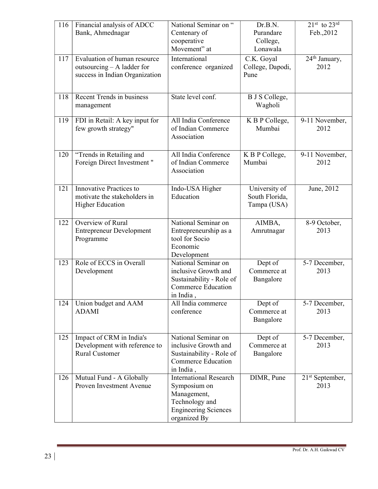| 116 | Financial analysis of ADCC<br>Bank, Ahmednagar                                               | National Seminar on "<br>Centenary of<br>cooperative<br>Movement" at                                                          | Dr.B.N.<br>Purandare<br>College,<br>Lonawala   | $21st$ to $23rd$<br>Feb., 2012    |
|-----|----------------------------------------------------------------------------------------------|-------------------------------------------------------------------------------------------------------------------------------|------------------------------------------------|-----------------------------------|
| 117 | Evaluation of human resource<br>outsourcing - A ladder for<br>success in Indian Organization | International<br>conference organized                                                                                         | C.K. Goyal<br>College, Dapodi,<br>Pune         | 24 <sup>th</sup> January,<br>2012 |
| 118 | Recent Trends in business<br>management                                                      | State level conf.                                                                                                             | <b>B</b> J S College,<br>Wagholi               |                                   |
| 119 | FDI in Retail: A key input for<br>few growth strategy"                                       | All India Conference<br>of Indian Commerce<br>Association                                                                     | K B P College,<br>Mumbai                       | 9-11 November,<br>2012            |
| 120 | "Trends in Retailing and<br>Foreign Direct Investment"                                       | All India Conference<br>of Indian Commerce<br>Association                                                                     | K B P College,<br>Mumbai                       | 9-11 November,<br>2012            |
| 121 | <b>Innovative Practices to</b><br>motivate the stakeholders in<br><b>Higher Education</b>    | Indo-USA Higher<br>Education                                                                                                  | University of<br>South Florida,<br>Tampa (USA) | June, 2012                        |
| 122 | Overview of Rural<br><b>Entrepreneur Development</b><br>Programme                            | National Seminar on<br>Entrepreneurship as a<br>tool for Socio<br>Economic<br>Development                                     | AIMBA,<br>Amrutnagar                           | 8-9 October,<br>2013              |
| 123 | Role of ECCS in Overall<br>Development                                                       | National Seminar on<br>inclusive Growth and<br>Sustainability - Role of<br><b>Commerce Education</b><br>in India,             | Dept of<br>Commerce at<br>Bangalore            | 5-7 December,<br>2013             |
| 124 | Union budget and AAM<br><b>ADAMI</b>                                                         | All India commerce<br>conference                                                                                              | Dept of<br>Commerce at<br>Bangalore            | 5-7 December,<br>2013             |
| 125 | Impact of CRM in India's<br>Development with reference to<br><b>Rural Customer</b>           | National Seminar on<br>inclusive Growth and<br>Sustainability - Role of<br><b>Commerce Education</b><br>in India,             | Dept of<br>Commerce at<br>Bangalore            | 5-7 December,<br>2013             |
| 126 | Mutual Fund - A Globally<br>Proven Investment Avenue                                         | <b>International Research</b><br>Symposium on<br>Management,<br>Technology and<br><b>Engineering Sciences</b><br>organized By | DIMR, Pune                                     | $21st$ September,<br>2013         |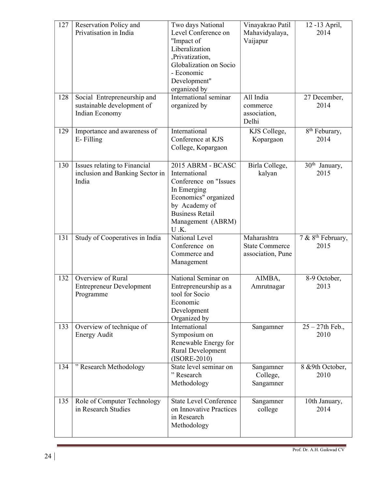| 127<br>128 | Reservation Policy and<br>Privatisation in India<br>Social Entrepreneurship and<br>sustainable development of | Two days National<br>Level Conference on<br>"Impact of<br>Liberalization<br>,Privatization,<br>Globalization on Socio<br>- Economic<br>Development"<br>organized by<br>International seminar<br>organized by | Vinayakrao Patil<br>Mahavidyalaya,<br>Vaijapur<br>All India<br>commerce | 12 -13 April,<br>2014<br>27 December,<br>2014 |
|------------|---------------------------------------------------------------------------------------------------------------|--------------------------------------------------------------------------------------------------------------------------------------------------------------------------------------------------------------|-------------------------------------------------------------------------|-----------------------------------------------|
|            | Indian Economy                                                                                                |                                                                                                                                                                                                              | association,<br>Delhi                                                   |                                               |
| 129        | Importance and awareness of<br>E-Filling                                                                      | International<br>Conference at KJS<br>College, Kopargaon                                                                                                                                                     | KJS College,<br>Kopargaon                                               | 8 <sup>th</sup> Feburary,<br>2014             |
| 130        | Issues relating to Financial<br>inclusion and Banking Sector in<br>India                                      | 2015 ABRM - BCASC<br>International<br>Conference on "Issues<br>In Emerging<br>Economics" organized<br>by Academy of<br><b>Business Retail</b><br>Management (ABRM)<br>U.K.                                   | Birla College,<br>kalyan                                                | 30 <sup>th</sup> January,<br>2015             |
| 131        | Study of Cooperatives in India                                                                                | National Level<br>Conference on<br>Commerce and<br>Management                                                                                                                                                | Maharashtra<br><b>State Commerce</b><br>association, Pune               | 7 & 8 <sup>th</sup> February,<br>2015         |
| 132        | Overview of Rural<br><b>Entrepreneur Development</b><br>Programme                                             | National Seminar on<br>Entrepreneurship as a<br>tool for Socio<br>Economic<br>Development<br>Organized by                                                                                                    | AIMBA,<br>Amrutnagar                                                    | 8-9 October,<br>2013                          |
| 133        | Overview of technique of<br><b>Energy Audit</b>                                                               | International<br>Symposium on<br>Renewable Energy for<br>Rural Development<br>$(ISORE-2010)$                                                                                                                 | Sangamner                                                               | $25 - 27$ th Feb.,<br>2010                    |
| 134        | " Research Methodology                                                                                        | State level seminar on<br>"Research<br>Methodology                                                                                                                                                           | Sangamner<br>College,<br>Sangamner                                      | 8 & 9th October,<br>2010                      |
| 135        | Role of Computer Technology<br>in Research Studies                                                            | <b>State Level Conference</b><br>on Innovative Practices<br>in Research<br>Methodology                                                                                                                       | Sangamner<br>college                                                    | 10th January,<br>2014                         |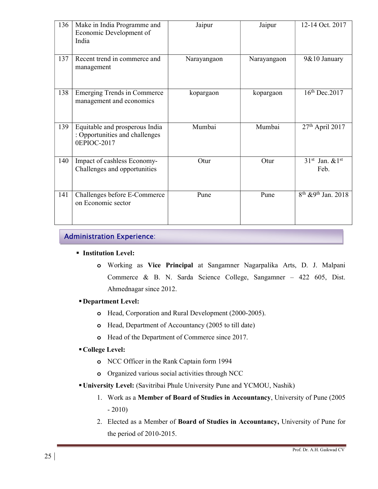| 136 | Make in India Programme and<br>Economic Development of<br>India                 | Jaipur      | Jaipur      | 12-14 Oct. 2017                             |
|-----|---------------------------------------------------------------------------------|-------------|-------------|---------------------------------------------|
| 137 | Recent trend in commerce and<br>management                                      | Narayangaon | Narayangaon | 9&10 January                                |
| 138 | <b>Emerging Trends in Commerce</b><br>management and economics                  | kopargaon   | kopargaon   | $16th$ Dec. 2017                            |
| 139 | Equitable and prosperous India<br>: Opportunities and challenges<br>0EPIOC-2017 | Mumbai      | Mumbai      | $27th$ April 2017                           |
| 140 | Impact of cashless Economy-<br>Challenges and opportunities                     | Otur        | Otur        | $31st$ Jan. $& 1st$<br>Feb.                 |
| 141 | Challenges before E-Commerce<br>on Economic sector                              | Pune        | Pune        | 8 <sup>th</sup> & 9 <sup>th</sup> Jan. 2018 |

## Administration Experience:

#### **Institution Level:**

o Working as Vice Principal at Sangamner Nagarpalika Arts, D. J. Malpani Commerce & B. N. Sarda Science College, Sangamner – 422 605, Dist. Ahmednagar since 2012.

#### Department Level:

- o Head, Corporation and Rural Development (2000-2005).
- o Head, Department of Accountancy (2005 to till date)
- o Head of the Department of Commerce since 2017.

#### College Level:

- o NCC Officer in the Rank Captain form 1994
- o Organized various social activities through NCC
- University Level: (Savitribai Phule University Pune and YCMOU, Nashik)
	- 1. Work as a Member of Board of Studies in Accountancy, University of Pune (2005  $-2010$
	- 2. Elected as a Member of Board of Studies in Accountancy, University of Pune for the period of 2010-2015.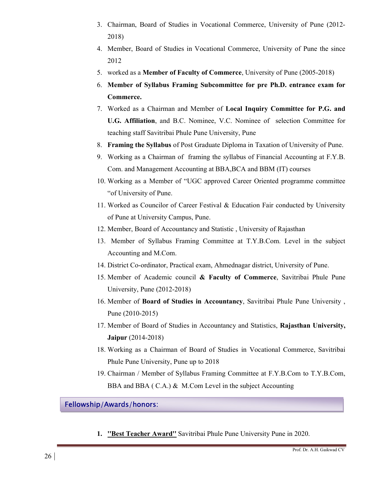- 3. Chairman, Board of Studies in Vocational Commerce, University of Pune (2012- 2018)
- 4. Member, Board of Studies in Vocational Commerce, University of Pune the since 2012
- 5. worked as a Member of Faculty of Commerce, University of Pune (2005-2018)
- 6. Member of Syllabus Framing Subcommittee for pre Ph.D. entrance exam for Commerce.
- 7. Worked as a Chairman and Member of Local Inquiry Committee for P.G. and U.G. Affiliation, and B.C. Nominee, V.C. Nominee of selection Committee for teaching staff Savitribai Phule Pune University, Pune
- 8. Framing the Syllabus of Post Graduate Diploma in Taxation of University of Pune.
- 9. Working as a Chairman of framing the syllabus of Financial Accounting at F.Y.B. Com. and Management Accounting at BBA,BCA and BBM (IT) courses
- 10. Working as a Member of "UGC approved Career Oriented programme committee "of University of Pune.
- 11. Worked as Councilor of Career Festival & Education Fair conducted by University of Pune at University Campus, Pune.
- 12. Member, Board of Accountancy and Statistic , University of Rajasthan
- 13. Member of Syllabus Framing Committee at T.Y.B.Com. Level in the subject Accounting and M.Com.
- 14. District Co-ordinator, Practical exam, Ahmednagar district, University of Pune.
- 15. Member of Academic council & Faculty of Commerce, Savitribai Phule Pune University, Pune (2012-2018)
- 16. Member of Board of Studies in Accountancy, Savitribai Phule Pune University , Pune (2010-2015)
- 17. Member of Board of Studies in Accountancy and Statistics, Rajasthan University, Jaipur (2014-2018)
- 18. Working as a Chairman of Board of Studies in Vocational Commerce, Savitribai Phule Pune University, Pune up to 2018
- 19. Chairman / Member of Syllabus Framing Committee at F.Y.B.Com to T.Y.B.Com, BBA and BBA ( C.A.) & M.Com Level in the subject Accounting

## Fellowship/Awards/honors:

1. **"Best Teacher Award"** Savitribai Phule Pune University Pune in 2020.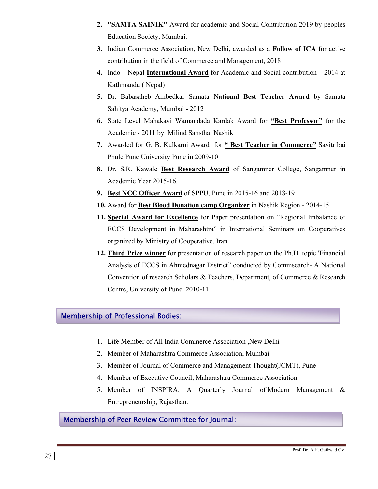- 2. ''SAMTA SAINIK" Award for academic and Social Contribution 2019 by peoples Education Society, Mumbai.
- 3. Indian Commerce Association, New Delhi, awarded as a Follow of ICA for active contribution in the field of Commerce and Management, 2018
- 4. Indo Nepal International Award for Academic and Social contribution 2014 at Kathmandu ( Nepal)
- 5. Dr. Babasaheb Ambedkar Samata National Best Teacher Award by Samata Sahitya Academy, Mumbai - 2012
- 6. State Level Mahakavi Wamandada Kardak Award for "Best Professor" for the Academic - 2011 by Milind Sanstha, Nashik
- 7. Awarded for G. B. Kulkarni Award for " Best Teacher in Commerce" Savitribai Phule Pune University Pune in 2009-10
- 8. Dr. S.R. Kawale Best Research Award of Sangamner College, Sangamner in Academic Year 2015-16.
- 9. Best NCC Officer Award of SPPU, Pune in 2015-16 and 2018-19
- 10. Award for Best Blood Donation camp Organizer in Nashik Region 2014-15
- 11. Special Award for Excellence for Paper presentation on "Regional Imbalance of ECCS Development in Maharashtra" in International Seminars on Cooperatives organized by Ministry of Cooperative, Iran
- 12. Third Prize winner for presentation of research paper on the Ph.D. topic 'Financial Analysis of ECCS in Ahmednagar District" conducted by Commsearch- A National Convention of research Scholars & Teachers, Department, of Commerce & Research Centre, University of Pune. 2010-11

## Membership of Professional Bodies:

- 1. Life Member of All India Commerce Association ,New Delhi
- 2. Member of Maharashtra Commerce Association, Mumbai
- 3. Member of Journal of Commerce and Management Thought(JCMT), Pune
- 4. Member of Executive Council, Maharashtra Commerce Association
- 5. Member of INSPIRA, A Quarterly Journal of Modern Management & Entrepreneurship, Rajasthan.

## Membership of Peer Review Committee for Journal: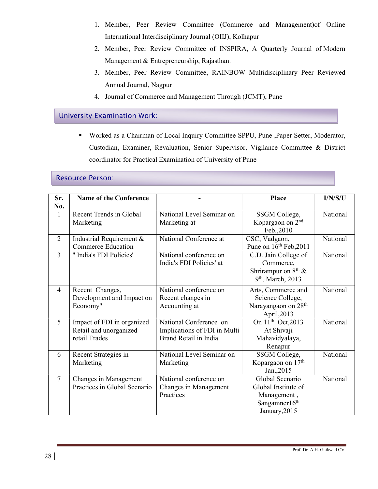- 1. Member, Peer Review Committee (Commerce and Management)of Online International Interdisciplinary Journal (OIIJ), Kolhapur
- 2. Member, Peer Review Committee of INSPIRA, A Quarterly Journal of Modern Management & Entrepreneurship, Rajasthan.
- 3. Member, Peer Review Committee, RAINBOW Multidisciplinary Peer Reviewed Annual Journal, Nagpur
- 4. Journal of Commerce and Management Through (JCMT), Pune

### University Examination Work:

 Worked as a Chairman of Local Inquiry Committee SPPU, Pune ,Paper Setter, Moderator, Custodian, Examiner, Revaluation, Senior Supervisor, Vigilance Committee & District coordinator for Practical Examination of University of Pune

#### Resource Person:

| Sr.<br>No.     | <b>Name of the Conference</b> |                              | Place                           | I/N/S/U  |
|----------------|-------------------------------|------------------------------|---------------------------------|----------|
| 1              | Recent Trends in Global       | National Level Seminar on    | SSGM College,                   | National |
|                | Marketing                     | Marketing at                 | Kopargaon on 2 <sup>nd</sup>    |          |
|                |                               |                              | Feb., 2010                      |          |
| $\overline{2}$ | Industrial Requirement &      | National Conference at       | CSC, Vadgaon,                   | National |
|                | <b>Commerce Education</b>     |                              | Pune on $16th$ Feb, 2011        |          |
| $\overline{3}$ | " India's FDI Policies'       | National conference on       | C.D. Jain College of            | National |
|                |                               | India's FDI Policies' at     | Commerce,                       |          |
|                |                               |                              | Shrirampur on 8 <sup>th</sup> & |          |
|                |                               |                              | 9 <sup>th</sup> , March, 2013   |          |
| $\overline{4}$ | Recent Changes,               | National conference on       | Arts, Commerce and              | National |
|                | Development and Impact on     | Recent changes in            | Science College,                |          |
|                | Economy"                      | Accounting at                | Narayangaon on 28 <sup>th</sup> |          |
|                |                               |                              | April,2013                      |          |
| 5              | Impact of FDI in organized    | National Conference on       | On 11 <sup>th</sup> Oct, 2013   | National |
|                | Retail and unorganized        | Implications of FDI in Multi | At Shivaji                      |          |
|                | retail Trades                 | Brand Retail in India        | Mahavidyalaya,                  |          |
|                |                               |                              | Renapur                         |          |
| 6              | Recent Strategies in          | National Level Seminar on    | SSGM College,                   | National |
|                | Marketing                     | Marketing                    | Kopargaon on 17 <sup>th</sup>   |          |
|                |                               |                              | Jan., 2015                      |          |
| $\overline{7}$ | Changes in Management         | National conference on       | Global Scenario                 | National |
|                | Practices in Global Scenario  | Changes in Management        | Global Institute of             |          |
|                |                               | Practices                    | Management,                     |          |
|                |                               |                              | Sangamner16 <sup>th</sup>       |          |
|                |                               |                              | January, 2015                   |          |